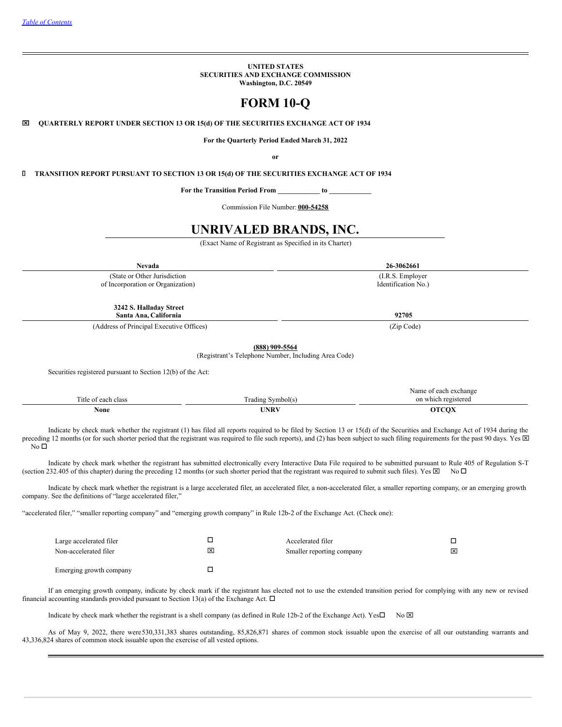**UNITED STATES SECURITIES AND EXCHANGE COMMISSION Washington, D.C. 20549**

# **FORM 10-Q**

x **QUARTERLY REPORT UNDER SECTION 13 OR 15(d) OF THE SECURITIES EXCHANGE ACT OF 1934**

**For the Quarterly Period Ended March 31, 2022**

**or**

**TRANSITION REPORT PURSUANT TO SECTION 13 OR 15(d) OF THE SECURITIES EXCHANGE ACT OF 1934**

**For the Transition Period From \_\_\_\_\_\_\_\_\_\_\_\_ to \_\_\_\_\_\_\_\_\_\_\_\_**

Commission File Number: **000-54258**

# **UNRIVALED BRANDS, INC.**

(Exact Name of Registrant as Specified in its Charter)

**Nevada 26-3062661**

(State or Other Jurisdiction of Incorporation or Organization)

> **3242 S. Halladay Street Santa Ana, California 92705**

(Address of Principal Executive Offices) (Zip Code)

**(888) 909-5564**

(Registrant's Telephone Number, Including Area Code)

Securities registered pursuant to Section 12(b) of the Act:

|                          |                                 | Name of each exchange                       |
|--------------------------|---------------------------------|---------------------------------------------|
| Title<br>t of each class | company of<br>Grading Symbol(s) | on which registered<br>$\sim$ $\sim$ $\sim$ |
| None                     | UNRV                            | ATCAV<br>vл                                 |

Indicate by check mark whether the registrant (1) has filed all reports required to be filed by Section 13 or 15(d) of the Securities and Exchange Act of 1934 during the preceding 12 months (or for such shorter period that the registrant was required to file such reports), and (2) has been subject to such filing requirements for the past 90 days. Yes  $\boxtimes$  $No<sub>D</sub>$ 

Indicate by check mark whether the registrant has submitted electronically every Interactive Data File required to be submitted pursuant to Rule 405 of Regulation S-T (section 232.405 of this chapter) during the preceding 12 months (or such shorter period that the registrant was required to submit such files). Yes  $\boxtimes$  No  $\Box$ 

Indicate by check mark whether the registrant is a large accelerated filer, an accelerated filer, a non-accelerated filer, a smaller reporting company, or an emerging growth company. See the definitions of "large accelerated filer,"

"accelerated filer," "smaller reporting company" and "emerging growth company" in Rule 12b-2 of the Exchange Act. (Check one):

| Large accelerated filer<br>Non-accelerated filer | ⊠ | Accelerated filer<br>Smaller reporting company | $\overline{\mathsf{x}}$ |
|--------------------------------------------------|---|------------------------------------------------|-------------------------|
| Emerging growth company                          |   |                                                |                         |

If an emerging growth company, indicate by check mark if the registrant has elected not to use the extended transition period for complying with any new or revised financial accounting standards provided pursuant to Section 13(a) of the Exchange Act.  $\Box$ 

Indicate by check mark whether the registrant is a shell company (as defined in Rule 12b-2 of the Exchange Act). Yes $\square$  No  $\boxtimes$ 

<span id="page-0-0"></span>As of May 9, 2022, there were530,331,383 shares outstanding, 85,826,871 shares of common stock issuable upon the exercise of all our outstanding warrants and 43,336,824 shares of common stock issuable upon the exercise of all vested options.

(I.R.S. Employer Identification No.)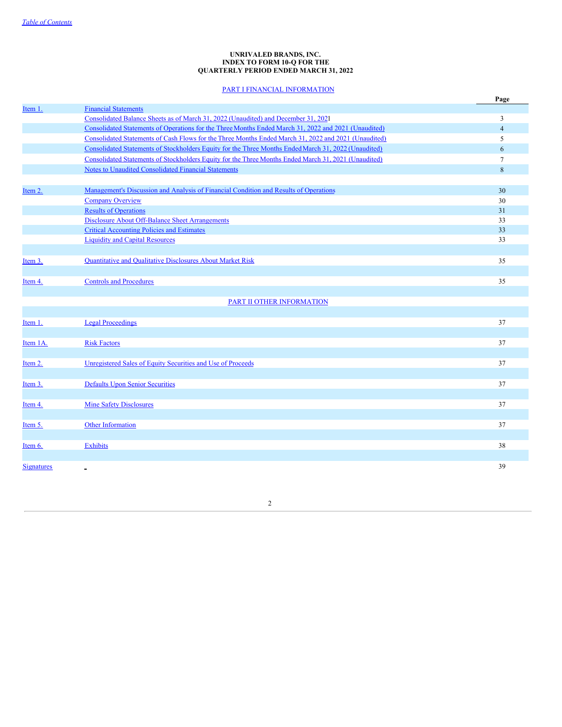### **UNRIVALED BRANDS, INC. INDEX TO FORM 10-Q FOR THE QUARTERLY PERIOD ENDED MARCH 31, 2022**

# PART I FINANCIAL [INFORMATION](#page-1-0)

<span id="page-1-0"></span>

|                   |                                                                                                      | Page           |
|-------------------|------------------------------------------------------------------------------------------------------|----------------|
| Item 1.           | <b>Financial Statements</b>                                                                          |                |
|                   | Consolidated Balance Sheets as of March 31, 2022 (Unaudited) and December 31, 2021                   | 3              |
|                   | Consolidated Statements of Operations for the Three Months Ended March 31, 2022 and 2021 (Unaudited) | $\overline{4}$ |
|                   | Consolidated Statements of Cash Flows for the Three Months Ended March 31, 2022 and 2021 (Unaudited) | 5              |
|                   | Consolidated Statements of Stockholders Equity for the Three Months Ended March 31, 2022 (Unaudited) | 6              |
|                   | Consolidated Statements of Stockholders Equity for the Three Months Ended March 31, 2021 (Unaudited) | 7              |
|                   | Notes to Unaudited Consolidated Financial Statements                                                 | $\,8\,$        |
|                   |                                                                                                      |                |
| Item 2.           | Management's Discussion and Analysis of Financial Condition and Results of Operations                | 30             |
|                   | <b>Company Overview</b>                                                                              | 30             |
|                   | <b>Results of Operations</b>                                                                         | 31             |
|                   | <b>Disclosure About Off-Balance Sheet Arrangements</b>                                               | 33             |
|                   | <b>Critical Accounting Policies and Estimates</b>                                                    | 33             |
|                   | <b>Liquidity and Capital Resources</b>                                                               | 33             |
|                   |                                                                                                      |                |
| Item 3.           | Quantitative and Qualitative Disclosures About Market Risk                                           | 35             |
|                   |                                                                                                      |                |
| Item 4.           | <b>Controls and Procedures</b>                                                                       | 35             |
|                   |                                                                                                      |                |
|                   | PART II OTHER INFORMATION                                                                            |                |
|                   |                                                                                                      |                |
| Item 1.           | <b>Legal Proceedings</b>                                                                             | 37             |
|                   |                                                                                                      |                |
| Item 1A.          | <b>Risk Factors</b>                                                                                  | 37             |
|                   |                                                                                                      |                |
| Item 2.           | Unregistered Sales of Equity Securities and Use of Proceeds                                          | 37             |
|                   |                                                                                                      |                |
| Item 3.           | <b>Defaults Upon Senior Securities</b>                                                               | 37             |
|                   |                                                                                                      |                |
| Item 4.           | <b>Mine Safety Disclosures</b>                                                                       | 37             |
|                   |                                                                                                      |                |
| Item 5.           | <b>Other Information</b>                                                                             | 37             |
|                   |                                                                                                      |                |
| Item 6.           | <b>Exhibits</b>                                                                                      | 38             |
|                   |                                                                                                      |                |
|                   |                                                                                                      |                |
| <b>Signatures</b> |                                                                                                      | 39             |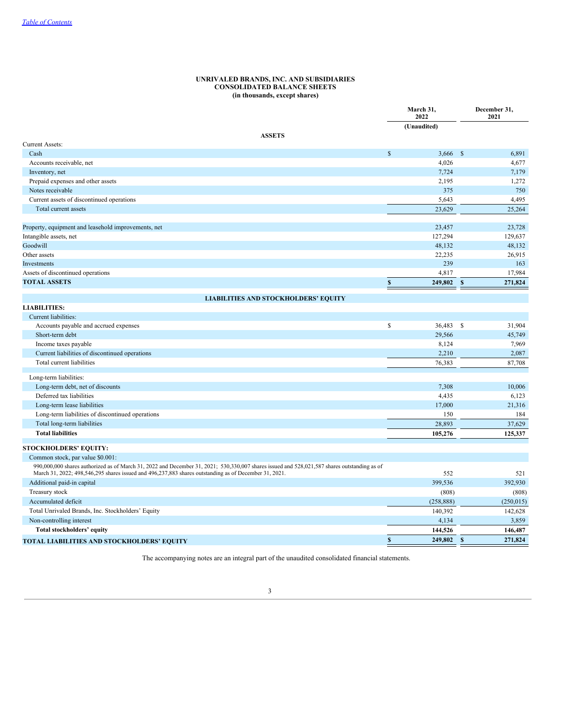#### **UNRIVALED BRANDS, INC. AND SUBSIDIARIES CONSOLIDATED BALANCE SHEETS (in thousands, except shares)**

<span id="page-2-1"></span><span id="page-2-0"></span>

|                                                                                                                                                                                                                                                       | March 31,<br>2022  |             |              | December 31,<br>2021 |
|-------------------------------------------------------------------------------------------------------------------------------------------------------------------------------------------------------------------------------------------------------|--------------------|-------------|--------------|----------------------|
|                                                                                                                                                                                                                                                       |                    | (Unaudited) |              |                      |
| <b>ASSETS</b>                                                                                                                                                                                                                                         |                    |             |              |                      |
| <b>Current Assets:</b>                                                                                                                                                                                                                                |                    |             |              |                      |
| Cash                                                                                                                                                                                                                                                  | $\mathcal{S}$      | 3,666       | $\mathbf{s}$ | 6,891                |
| Accounts receivable, net                                                                                                                                                                                                                              |                    | 4,026       |              | 4,677                |
| Inventory, net                                                                                                                                                                                                                                        |                    | 7,724       |              | 7,179                |
| Prepaid expenses and other assets                                                                                                                                                                                                                     |                    | 2,195       |              | 1,272                |
| Notes receivable                                                                                                                                                                                                                                      |                    | 375         |              | 750                  |
| Current assets of discontinued operations                                                                                                                                                                                                             |                    | 5,643       |              | 4,495                |
| Total current assets                                                                                                                                                                                                                                  |                    | 23,629      |              | 25,264               |
| Property, equipment and leasehold improvements, net                                                                                                                                                                                                   |                    | 23,457      |              | 23,728               |
| Intangible assets, net                                                                                                                                                                                                                                |                    | 127,294     |              | 129,637              |
| Goodwill                                                                                                                                                                                                                                              |                    | 48,132      |              | 48,132               |
| Other assets                                                                                                                                                                                                                                          |                    | 22,235      |              | 26,915               |
| Investments                                                                                                                                                                                                                                           |                    | 239         |              | 163                  |
| Assets of discontinued operations                                                                                                                                                                                                                     |                    | 4,817       |              | 17,984               |
| <b>TOTAL ASSETS</b>                                                                                                                                                                                                                                   | $\pmb{\mathbb{S}}$ | 249,802     | $\mathbf{s}$ | 271,824              |
|                                                                                                                                                                                                                                                       |                    |             |              |                      |
| <b>LIABILITIES AND STOCKHOLDERS' EQUITY</b>                                                                                                                                                                                                           |                    |             |              |                      |
| <b>LIABILITIES:</b>                                                                                                                                                                                                                                   |                    |             |              |                      |
| Current liabilities:                                                                                                                                                                                                                                  |                    |             |              |                      |
| Accounts payable and accrued expenses                                                                                                                                                                                                                 | \$                 | 36,483 \$   |              | 31,904               |
| Short-term debt                                                                                                                                                                                                                                       |                    | 29,566      |              | 45,749               |
| Income taxes payable                                                                                                                                                                                                                                  |                    | 8,124       |              | 7,969                |
| Current liabilities of discontinued operations                                                                                                                                                                                                        |                    | 2,210       |              | 2,087                |
| Total current liabilities                                                                                                                                                                                                                             |                    | 76,383      |              | 87,708               |
| Long-term liabilities:                                                                                                                                                                                                                                |                    |             |              |                      |
| Long-term debt, net of discounts                                                                                                                                                                                                                      |                    | 7,308       |              | 10,006               |
| Deferred tax liabilities                                                                                                                                                                                                                              |                    | 4,435       |              | 6,123                |
| Long-term lease liabilities                                                                                                                                                                                                                           |                    | 17,000      |              | 21,316               |
| Long-term liabilities of discontinued operations                                                                                                                                                                                                      |                    | 150         |              | 184                  |
| Total long-term liabilities                                                                                                                                                                                                                           |                    | 28,893      |              | 37,629               |
| <b>Total liabilities</b>                                                                                                                                                                                                                              |                    | 105,276     |              | 125,337              |
| <b>STOCKHOLDERS' EQUITY:</b>                                                                                                                                                                                                                          |                    |             |              |                      |
| Common stock, par value \$0.001:                                                                                                                                                                                                                      |                    |             |              |                      |
| 990,000,000 shares authorized as of March 31, 2022 and December 31, 2021; 530,330,007 shares issued and 528,021,587 shares outstanding as of<br>March 31, 2022; 498,546,295 shares issued and 496,237,883 shares outstanding as of December 31, 2021. |                    | 552         |              | 521                  |
| Additional paid-in capital                                                                                                                                                                                                                            |                    | 399,536     |              | 392,930              |
| Treasury stock                                                                                                                                                                                                                                        |                    | (808)       |              | (808)                |
| Accumulated deficit                                                                                                                                                                                                                                   |                    | (258, 888)  |              | (250, 015)           |
| Total Unrivaled Brands, Inc. Stockholders' Equity                                                                                                                                                                                                     |                    | 140,392     |              | 142,628              |
| Non-controlling interest                                                                                                                                                                                                                              |                    | 4,134       |              | 3,859                |
| Total stockholders' equity                                                                                                                                                                                                                            |                    | 144,526     |              | 146,487              |
| TOTAL LIABILITIES AND STOCKHOLDERS' EQUITY                                                                                                                                                                                                            | $\boldsymbol{s}$   | 249,802     | $\mathbf{s}$ | 271.824              |
|                                                                                                                                                                                                                                                       |                    |             |              |                      |

<span id="page-2-2"></span>The accompanying notes are an integral part of the unaudited consolidated financial statements.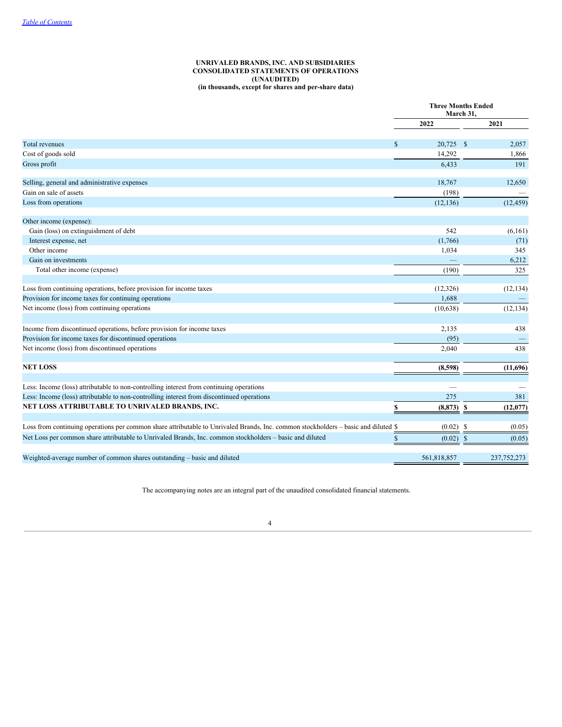### **UNRIVALED BRANDS, INC. AND SUBSIDIARIES CONSOLIDATED STATEMENTS OF OPERATIONS (UNAUDITED) (in thousands, except for shares and per-share data)**

|                                                                                                                                    | <b>Three Months Ended</b><br>March 31, |             |               |               |
|------------------------------------------------------------------------------------------------------------------------------------|----------------------------------------|-------------|---------------|---------------|
|                                                                                                                                    |                                        | 2022        |               | 2021          |
| <b>Total revenues</b>                                                                                                              | $\mathsf{\$}$                          | 20,725      | $\mathbb{S}$  | 2,057         |
| Cost of goods sold                                                                                                                 |                                        | 14,292      |               | 1,866         |
| Gross profit                                                                                                                       |                                        | 6,433       |               | 191           |
| Selling, general and administrative expenses                                                                                       |                                        | 18,767      |               | 12,650        |
| Gain on sale of assets                                                                                                             |                                        | (198)       |               |               |
| Loss from operations                                                                                                               |                                        | (12, 136)   |               | (12, 459)     |
| Other income (expense):                                                                                                            |                                        |             |               |               |
| Gain (loss) on extinguishment of debt                                                                                              |                                        | 542         |               | (6,161)       |
| Interest expense, net                                                                                                              |                                        | (1,766)     |               | (71)          |
| Other income                                                                                                                       |                                        | 1,034       |               | 345           |
| Gain on investments                                                                                                                |                                        |             |               | 6,212         |
| Total other income (expense)                                                                                                       |                                        | (190)       |               | 325           |
| Loss from continuing operations, before provision for income taxes                                                                 |                                        | (12, 326)   |               | (12, 134)     |
| Provision for income taxes for continuing operations                                                                               |                                        | 1,688       |               |               |
| Net income (loss) from continuing operations                                                                                       |                                        | (10,638)    |               | (12, 134)     |
| Income from discontinued operations, before provision for income taxes                                                             |                                        | 2,135       |               | 438           |
| Provision for income taxes for discontinued operations                                                                             |                                        | (95)        |               |               |
| Net income (loss) from discontinued operations                                                                                     |                                        | 2,040       |               | 438           |
| <b>NET LOSS</b>                                                                                                                    |                                        | (8,598)     |               | (11,696)      |
|                                                                                                                                    |                                        |             |               |               |
| Less: Income (loss) attributable to non-controlling interest from continuing operations                                            |                                        |             |               |               |
| Less: Income (loss) attributable to non-controlling interest from discontinued operations                                          |                                        | 275         |               | 381           |
| NET LOSS ATTRIBUTABLE TO UNRIVALED BRANDS, INC.                                                                                    | \$                                     | (8, 873)    | <b>S</b>      | (12,077)      |
| Loss from continuing operations per common share attributable to Unrivaled Brands, Inc. common stockholders – basic and diluted \$ |                                        | (0.02)      | S             | (0.05)        |
| Net Loss per common share attributable to Unrivaled Brands, Inc. common stockholders - basic and diluted                           | $\$$                                   | (0.02)      | $\mathcal{S}$ | (0.05)        |
| Weighted-average number of common shares outstanding – basic and diluted                                                           |                                        | 561,818,857 |               | 237, 752, 273 |

<span id="page-3-0"></span>The accompanying notes are an integral part of the unaudited consolidated financial statements.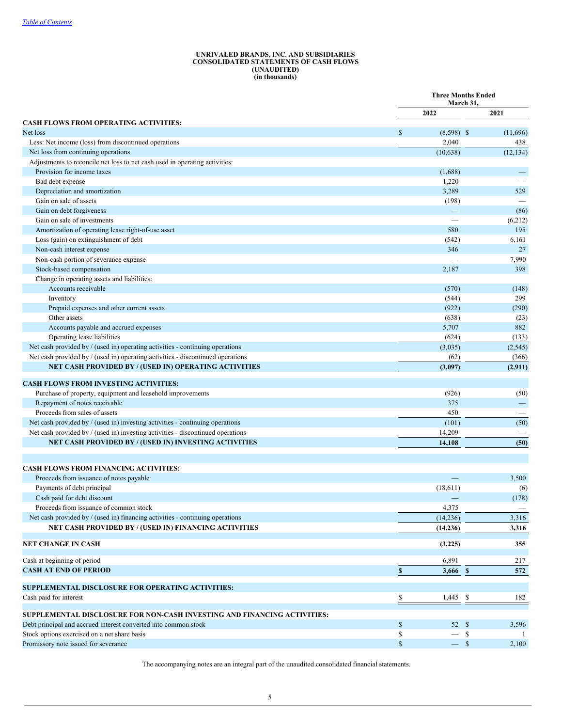#### **UNRIVALED BRANDS, INC. AND SUBSIDIARIES CONSOLIDATED STATEMENTS OF CASH FLOWS (UNAUDITED) (in thousands)**

|                                                                                 | <b>Three Months Ended</b><br>March 31, |                   |    |                   |
|---------------------------------------------------------------------------------|----------------------------------------|-------------------|----|-------------------|
|                                                                                 |                                        | 2022              |    | 2021              |
| <b>CASH FLOWS FROM OPERATING ACTIVITIES:</b>                                    |                                        |                   |    |                   |
| Net loss                                                                        | \$                                     | $(8,598)$ \$      |    | (11,696)          |
| Less: Net income (loss) from discontinued operations                            |                                        | 2,040             |    | 438               |
| Net loss from continuing operations                                             |                                        | (10, 638)         |    | (12, 134)         |
| Adjustments to reconcile net loss to net cash used in operating activities:     |                                        |                   |    |                   |
| Provision for income taxes                                                      |                                        | (1,688)           |    |                   |
| Bad debt expense                                                                |                                        | 1,220             |    |                   |
| Depreciation and amortization                                                   |                                        | 3,289             |    | 529               |
| Gain on sale of assets                                                          |                                        | (198)             |    |                   |
| Gain on debt forgiveness                                                        |                                        | $\qquad \qquad -$ |    | (86)              |
| Gain on sale of investments                                                     |                                        |                   |    | (6,212)           |
| Amortization of operating lease right-of-use asset                              |                                        | 580               |    | 195               |
| Loss (gain) on extinguishment of debt                                           |                                        | (542)             |    | 6,161             |
| Non-cash interest expense                                                       |                                        | 346               |    | 27                |
| Non-cash portion of severance expense                                           |                                        |                   |    | 7,990             |
| Stock-based compensation                                                        |                                        | 2,187             |    | 398               |
| Change in operating assets and liabilities:                                     |                                        |                   |    |                   |
| Accounts receivable                                                             |                                        | (570)             |    | (148)<br>299      |
| Inventory<br>Prepaid expenses and other current assets                          |                                        | (544)<br>(922)    |    | (290)             |
| Other assets                                                                    |                                        |                   |    |                   |
| Accounts payable and accrued expenses                                           |                                        | (638)<br>5,707    |    | (23)<br>882       |
| Operating lease liabilities                                                     |                                        | (624)             |    | (133)             |
| Net cash provided by / (used in) operating activities - continuing operations   |                                        |                   |    |                   |
| Net cash provided by / (used in) operating activities - discontinued operations |                                        | (3,035)           |    | (2, 545)          |
| <b>NET CASH PROVIDED BY / (USED IN) OPERATING ACTIVITIES</b>                    |                                        | (62)              |    | (366)             |
|                                                                                 |                                        | (3,097)           |    | (2,911)           |
| <b>CASH FLOWS FROM INVESTING ACTIVITIES:</b>                                    |                                        |                   |    |                   |
| Purchase of property, equipment and leasehold improvements                      |                                        | (926)             |    | (50)              |
| Repayment of notes receivable                                                   |                                        | 375               |    | $\qquad \qquad -$ |
| Proceeds from sales of assets                                                   |                                        | 450               |    |                   |
| Net cash provided by / (used in) investing activities - continuing operations   |                                        | (101)             |    | (50)              |
| Net cash provided by / (used in) investing activities - discontinued operations |                                        | 14,209            |    |                   |
| NET CASH PROVIDED BY / (USED IN) INVESTING ACTIVITIES                           |                                        | 14,108            |    | (50)              |
|                                                                                 |                                        |                   |    |                   |
| <b>CASH FLOWS FROM FINANCING ACTIVITIES:</b>                                    |                                        |                   |    |                   |
| Proceeds from issuance of notes payable                                         |                                        |                   |    | 3,500             |
| Payments of debt principal                                                      |                                        | (18,611)          |    | (6)               |
| Cash paid for debt discount                                                     |                                        |                   |    | (178)             |
| Proceeds from issuance of common stock                                          |                                        | 4,375             |    |                   |
| Net cash provided by / (used in) financing activities - continuing operations   |                                        | (14, 236)         |    | 3,316             |
| NET CASH PROVIDED BY / (USED IN) FINANCING ACTIVITIES                           |                                        | (14, 236)         |    | 3,316             |
| NET CHANGE IN CASH                                                              |                                        | (3,225)           |    | 355               |
| Cash at beginning of period                                                     |                                        | 6,891             |    | 217               |
| <b>CASH AT END OF PERIOD</b>                                                    | \$                                     | 3,666 \$          |    | 572               |
|                                                                                 |                                        |                   |    |                   |
| SUPPLEMENTAL DISCLOSURE FOR OPERATING ACTIVITIES:                               |                                        |                   |    |                   |
| Cash paid for interest                                                          | \$                                     | $1,445$ \$        |    | 182               |
| SUPPLEMENTAL DISCLOSURE FOR NON-CASH INVESTING AND FINANCING ACTIVITIES:        |                                        |                   |    |                   |
| Debt principal and accrued interest converted into common stock                 | \$                                     | 52S               |    | 3,596             |
| Stock options exercised on a net share basis                                    | \$                                     |                   | -S |                   |
| Promissory note issued for severance                                            | $\mathbb{S}$                           | $-$ \$            |    | 2,100             |

<span id="page-4-0"></span>The accompanying notes are an integral part of the unaudited consolidated financial statements.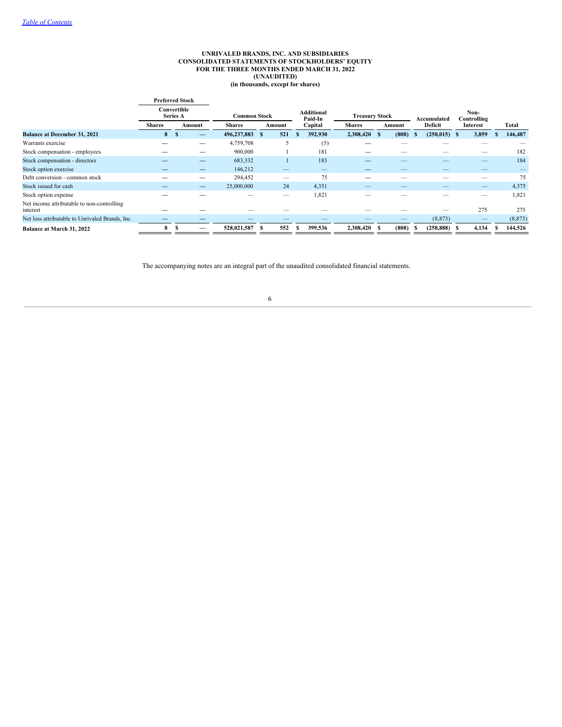#### **UNRIVALED BRANDS, INC. AND SUBSIDIARIES CONSOLIDATED STATEMENTS OF STOCKHOLDERS' EQUITY FOR THE THREE MONTHS ENDED MARCH 31, 2022 (UNAUDITED) (in thousands, except for shares)**

|                                                        | <b>Preferred Stock</b> |                                |        |                     |          |                              |                       |        |                        |                     |          |
|--------------------------------------------------------|------------------------|--------------------------------|--------|---------------------|----------|------------------------------|-----------------------|--------|------------------------|---------------------|----------|
|                                                        |                        | Convertible<br><b>Series A</b> |        | <b>Common Stock</b> |          | <b>Additional</b><br>Paid-In | <b>Treasury Stock</b> |        | Accumulated            | Non-<br>Controlling |          |
|                                                        | <b>Shares</b>          |                                | Amount | <b>Shares</b>       | Amount   | Capital                      | <b>Shares</b>         | Amount | Deficit                | Interest            | Total    |
| <b>Balance at December 31, 2021</b>                    | 8                      | <sup>\$</sup>                  |        | 496,237,883         | 521<br>S | 392,930                      | 2,308,420 \$          | (808)  | $(250, 015)$ \$<br>-36 | 3,859               | 146,487  |
| Warrants exercise                                      |                        |                                | -      | 4,759,708           |          | (5)                          |                       |        |                        |                     |          |
| Stock compensation - employees                         |                        |                                | -      | 900,000             |          | 181                          |                       |        |                        | _                   | 182      |
| Stock compensation - directors                         |                        |                                |        | 683,332             |          | 183                          | _                     |        |                        | _                   | 184      |
| Stock option exercise                                  |                        |                                |        | 146,212             |          | $\overline{\phantom{a}}$     |                       |        |                        |                     |          |
| Debt conversion - common stock                         |                        |                                | -      | 294,452             |          | 75                           |                       |        |                        | --                  | 75       |
| Stock issued for cash                                  |                        |                                | –      | 25,000,000          | 24       | 4,351                        |                       |        |                        | _                   | 4,375    |
| Stock option expense                                   |                        |                                |        |                     |          | 1,821                        |                       |        |                        | --                  | 1,821    |
| Net income attributable to non-controlling<br>interest |                        |                                |        |                     |          |                              |                       |        |                        | 275                 | 275      |
| Net loss attributable to Unrivaled Brands, Inc.        |                        |                                |        |                     |          |                              |                       |        | (8, 873)               | –                   | (8, 873) |
| Balance at March 31, 2022                              | 8                      |                                |        | 528,021,587         | 552      | 399,536                      | 2,308,420 \$          | (808)  | (258, 888)             | 4,134               | 144,526  |

<span id="page-5-0"></span>The accompanying notes are an integral part of the unaudited consolidated financial statements.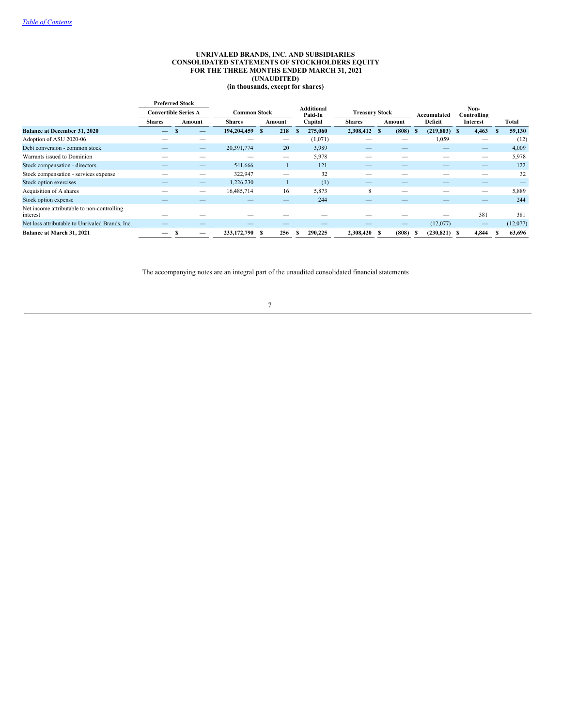### **UNRIVALED BRANDS, INC. AND SUBSIDIARIES CONSOLIDATED STATEMENTS OF STOCKHOLDERS EQUITY FOR THE THREE MONTHS ENDED MARCH 31, 2021 (UNAUDITED) (in thousands, except for shares)**

|                                                        |               | <b>Preferred Stock</b>      |               |                     |         |                                                       |        |                 |                     |          |
|--------------------------------------------------------|---------------|-----------------------------|---------------|---------------------|---------|-------------------------------------------------------|--------|-----------------|---------------------|----------|
|                                                        |               | <b>Convertible Series A</b> |               | <b>Common Stock</b> |         | <b>Additional</b><br><b>Treasury Stock</b><br>Paid-In |        |                 | Non-<br>Controlling |          |
|                                                        | <b>Shares</b> | Amount                      | <b>Shares</b> | Amount              | Capital | <b>Shares</b>                                         | Amount | Deficit         | Interest            | Total    |
| <b>Balance at December 31, 2020</b>                    | –             | _                           | 194,204,459   | 218<br>-S           | 275,060 | 2,308,412 \$                                          | (808)  | (219, 803)<br>S | 4,463<br>- \$       | 59,130   |
| Adoption of ASU 2020-06                                |               |                             |               |                     | (1,071) |                                                       |        | 1,059           | –                   | (12)     |
| Debt conversion - common stock                         |               |                             | 20,391,774    | 20                  | 3,989   |                                                       |        | _               |                     | 4,009    |
| Warrants issued to Dominion                            |               |                             |               | _                   | 5,978   |                                                       |        |                 |                     | 5,978    |
| Stock compensation - directors                         |               | _                           | 541,666       |                     | 121     |                                                       |        |                 |                     | 122      |
| Stock compensation - services expense                  |               | $\overline{\phantom{a}}$    | 322,947       | _                   |         | 32                                                    |        |                 | _                   | 32       |
| Stock option exercises                                 |               |                             | 1,226,230     |                     |         | (1)                                                   | $-$    | _               |                     |          |
| Acquisition of A shares                                |               | _                           | 16,485,714    | 16                  | 5,873   | 8                                                     |        |                 | _                   | 5,889    |
| Stock option expense                                   |               |                             |               |                     |         | 244                                                   |        |                 |                     | 244      |
| Net income attributable to non-controlling<br>interest |               |                             |               |                     |         |                                                       |        |                 | 381                 | 381      |
| Net loss attributable to Unrivaled Brands, Inc.        |               |                             |               |                     |         |                                                       | $-$    | (12,077)        |                     | (12,077) |
| Balance at March 31, 2021                              |               |                             | 233,172,790   | 256                 | 290.225 | 2,308,420 \$                                          | (808)  | (230, 821)      | 4,844<br>-S         | 63,696   |

<span id="page-6-0"></span>The accompanying notes are an integral part of the unaudited consolidated financial statements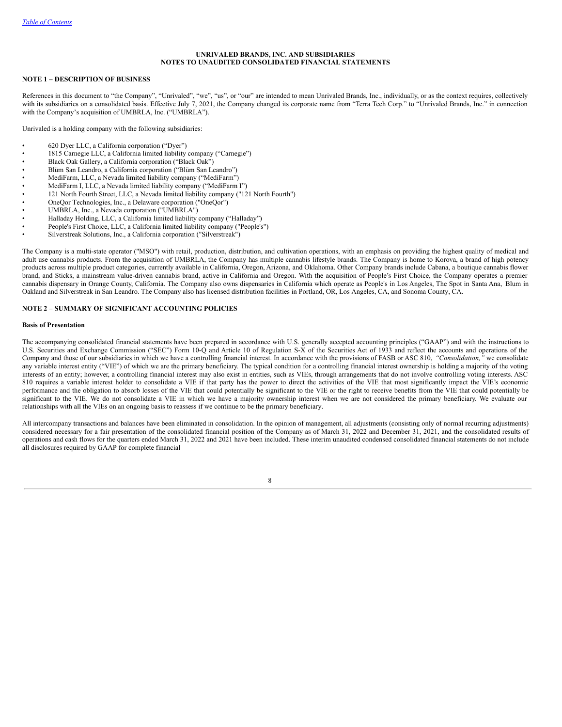# **UNRIVALED BRANDS, INC. AND SUBSIDIARIES NOTES TO UNAUDITED CONSOLIDATED FINANCIAL STATEMENTS**

### **NOTE 1 – DESCRIPTION OF BUSINESS**

References in this document to "the Company", "Unrivaled", "we", "us", or "our" are intended to mean Unrivaled Brands, Inc., individually, or as the context requires, collectively with its subsidiaries on a consolidated basis. Effective July 7, 2021, the Company changed its corporate name from "Terra Tech Corp." to "Unrivaled Brands, Inc." in connection with the Company's acquisition of UMBRLA, Inc. ("UMBRLA").

Unrivaled is a holding company with the following subsidiaries:

- 620 Dyer LLC, a California corporation ("Dyer")
- 1815 Carnegie LLC, a California limited liability company ("Carnegie")
- Black Oak Gallery, a California corporation ("Black Oak")
- Blüm San Leandro, a California corporation ("Blüm San Leandro")
- MediFarm, LLC, a Nevada limited liability company ("MediFarm")
- MediFarm I, LLC, a Nevada limited liability company ("MediFarm I")
- 121 North Fourth Street, LLC, a Nevada limited liability company ("121 North Fourth")
- OneQor Technologies, Inc., a Delaware corporation ("OneQor")
- UMBRLA, Inc., a Nevada corporation ("UMBRLA")
- Halladay Holding, LLC, a California limited liability company ("Halladay")
- People's First Choice, LLC, a California limited liability company ("People's")
- Silverstreak Solutions, Inc., a California corporation ("Silverstreak")

The Company is a multi-state operator ("MSO") with retail, production, distribution, and cultivation operations, with an emphasis on providing the highest quality of medical and adult use cannabis products. From the acquisition of UMBRLA, the Company has multiple cannabis lifestyle brands. The Company is home to Korova, a brand of high potency products across multiple product categories, currently available in California, Oregon, Arizona, and Oklahoma. Other Company brands include Cabana, a boutique cannabis flower brand, and Sticks, a mainstream value-driven cannabis brand, active in California and Oregon. With the acquisition of People's First Choice, the Company operates a premier cannabis dispensary in Orange County, California. The Company also owns dispensaries in California which operate as People's in Los Angeles, The Spot in Santa Ana, Blum in Oakland and Silverstreak in San Leandro. The Company also has licensed distribution facilities in Portland, OR, Los Angeles, CA, and Sonoma County, CA.

### **NOTE 2 – SUMMARY OF SIGNIFICANT ACCOUNTING POLICIES**

#### **Basis of Presentation**

The accompanying consolidated financial statements have been prepared in accordance with U.S. generally accepted accounting principles ("GAAP") and with the instructions to U.S. Securities and Exchange Commission ("SEC") Form 10-Q and Article 10 of Regulation S-X of the Securities Act of 1933 and reflect the accounts and operations of the Company and those of our subsidiaries in which we have a controlling financial interest. In accordance with the provisions of FASB or ASC 810, "Consolidation," we consolidate any variable interest entity ("VIE") of which we are the primary beneficiary. The typical condition for a controlling financial interest ownership is holding a majority of the voting interests of an entity; however, a controlling financial interest may also exist in entities, such as VIEs, through arrangements that do not involve controlling voting interests. ASC 810 requires a variable interest holder to consolidate a VIE if that party has the power to direct the activities of the VIE that most significantly impact the VIE's economic performance and the obligation to absorb losses of the VIE that could potentially be significant to the VIE or the right to receive benefits from the VIE that could potentially be significant to the VIE. We do not consolidate a VIE in which we have a majority ownership interest when we are not considered the primary beneficiary. We evaluate our relationships with all the VIEs on an ongoing basis to reassess if we continue to be the primary beneficiary.

All intercompany transactions and balances have been eliminated in consolidation. In the opinion of management, all adjustments (consisting only of normal recurring adjustments) considered necessary for a fair presentation of the consolidated financial position of the Company as of March 31, 2022 and December 31, 2021, and the consolidated results of operations and cash flows for the quarters ended March 31, 2022 and 2021 have been included. These interim unaudited condensed consolidated financial statements do not include all disclosures required by GAAP for complete financial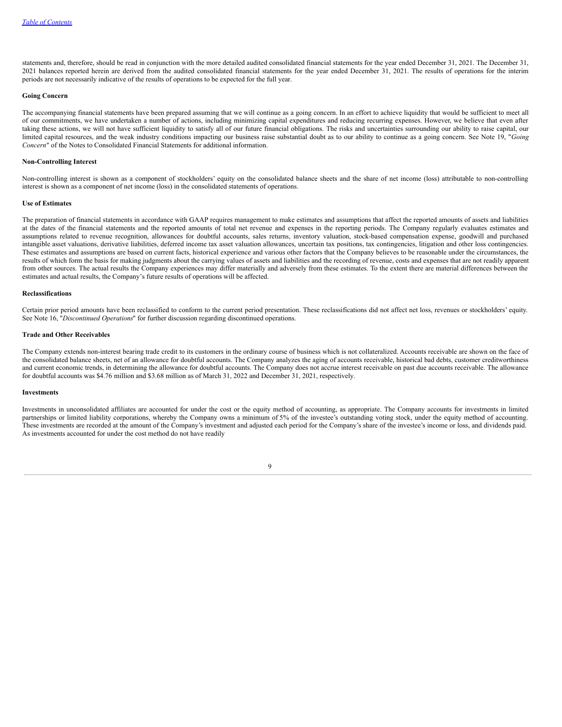statements and, therefore, should be read in conjunction with the more detailed audited consolidated financial statements for the year ended December 31, 2021. The December 31, 2021 balances reported herein are derived from the audited consolidated financial statements for the year ended December 31, 2021. The results of operations for the interim periods are not necessarily indicative of the results of operations to be expected for the full year.

#### **Going Concern**

The accompanying financial statements have been prepared assuming that we will continue as a going concern. In an effort to achieve liquidity that would be sufficient to meet all of our commitments, we have undertaken a number of actions, including minimizing capital expenditures and reducing recurring expenses. However, we believe that even after taking these actions, we will not have sufficient liquidity to satisfy all of our future financial obligations. The risks and uncertainties surrounding our ability to raise capital, our limited capital resources, and the weak industry conditions impacting our business raise substantial doubt as to our ability to continue as a going concern. See Note 19, "*Going Concern*" of the Notes to Consolidated Financial Statements for additional information.

#### **Non-Controlling Interest**

Non-controlling interest is shown as a component of stockholders' equity on the consolidated balance sheets and the share of net income (loss) attributable to non-controlling interest is shown as a component of net income (loss) in the consolidated statements of operations.

#### **Use of Estimates**

The preparation of financial statements in accordance with GAAP requires management to make estimates and assumptions that affect the reported amounts of assets and liabilities at the dates of the financial statements and the reported amounts of total net revenue and expenses in the reporting periods. The Company regularly evaluates estimates and assumptions related to revenue recognition, allowances for doubtful accounts, sales returns, inventory valuation, stock-based compensation expense, goodwill and purchased intangible asset valuations, derivative liabilities, deferred income tax asset valuation allowances, uncertain tax positions, tax contingencies, litigation and other loss contingencies. These estimates and assumptions are based on current facts, historical experience and various other factors that the Company believes to be reasonable under the circumstances, the results of which form the basis for making judgments about the carrying values of assets and liabilities and the recording of revenue, costs and expenses that are not readily apparent from other sources. The actual results the Company experiences may differ materially and adversely from these estimates. To the extent there are material differences between the estimates and actual results, the Company's future results of operations will be affected.

### **Reclassifications**

Certain prior period amounts have been reclassified to conform to the current period presentation. These reclassifications did not affect net loss, revenues or stockholders' equity. See Note 16, "*Discontinued Operations*" for further discussion regarding discontinued operations.

### **Trade and Other Receivables**

The Company extends non-interest bearing trade credit to its customers in the ordinary course of business which is not collateralized. Accounts receivable are shown on the face of the consolidated balance sheets, net of an allowance for doubtful accounts. The Company analyzes the aging of accounts receivable, historical bad debts, customer creditworthiness and current economic trends, in determining the allowance for doubtful accounts. The Company does not accrue interest receivable on past due accounts receivable. The allowance for doubtful accounts was \$4.76 million and \$3.68 million as of March 31, 2022 and December 31, 2021, respectively.

### **Investments**

Investments in unconsolidated affiliates are accounted for under the cost or the equity method of accounting, as appropriate. The Company accounts for investments in limited partnerships or limited liability corporations, whereby the Company owns a minimum of 5% of the investee's outstanding voting stock, under the equity method of accounting. These investments are recorded at the amount of the Company's investment and adjusted each period for the Company's share of the investee's income or loss, and dividends paid. As investments accounted for under the cost method do not have readily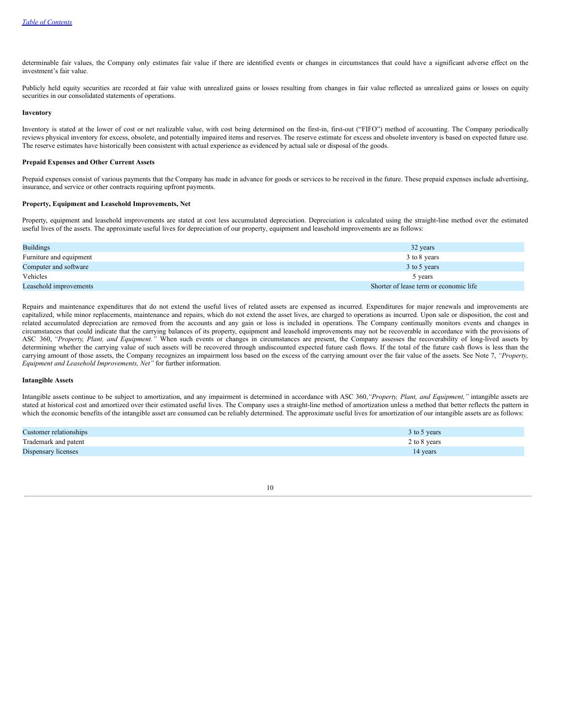determinable fair values, the Company only estimates fair value if there are identified events or changes in circumstances that could have a significant adverse effect on the investment's fair value.

Publicly held equity securities are recorded at fair value with unrealized gains or losses resulting from changes in fair value reflected as unrealized gains or losses on equity securities in our consolidated statements of operations.

#### **Inventory**

Inventory is stated at the lower of cost or net realizable value, with cost being determined on the first-in, first-out ("FIFO") method of accounting. The Company periodically reviews physical inventory for excess, obsolete, and potentially impaired items and reserves. The reserve estimate for excess and obsolete inventory is based on expected future use. The reserve estimates have historically been consistent with actual experience as evidenced by actual sale or disposal of the goods.

### **Prepaid Expenses and Other Current Assets**

Prepaid expenses consist of various payments that the Company has made in advance for goods or services to be received in the future. These prepaid expenses include advertising, insurance, and service or other contracts requiring upfront payments.

### **Property, Equipment and Leasehold Improvements, Net**

Property, equipment and leasehold improvements are stated at cost less accumulated depreciation. Depreciation is calculated using the straight-line method over the estimated useful lives of the assets. The approximate useful lives for depreciation of our property, equipment and leasehold improvements are as follows:

| <b>Buildings</b>        | 32 years                               |
|-------------------------|----------------------------------------|
| Furniture and equipment | 3 to 8 years                           |
| Computer and software   | 3 to 5 years                           |
| Vehicles                | 5 years                                |
| Leasehold improvements  | Shorter of lease term or economic life |

Repairs and maintenance expenditures that do not extend the useful lives of related assets are expensed as incurred. Expenditures for major renewals and improvements are capitalized, while minor replacements, maintenance and repairs, which do not extend the asset lives, are charged to operations as incurred. Upon sale or disposition, the cost and related accumulated depreciation are removed from the accounts and any gain or loss is included in operations. The Company continually monitors events and changes in circumstances that could indicate that the carrying balances of its property, equipment and leasehold improvements may not be recoverable in accordance with the provisions of ASC 360, *"Property, Plant, and Equipment."* When such events or changes in circumstances are present, the Company assesses the recoverability of long-lived assets by determining whether the carrying value of such assets will be recovered through undiscounted expected future cash flows. If the total of the future cash flows is less than the carrying amount of those assets, the Company recognizes an impairment loss based on the excess of the carrying amount over the fair value of the assets. See Note 7, *"Property, Equipment and Leasehold Improvements, Net"* for further information.

#### **Intangible Assets**

Intangible assets continue to be subject to amortization, and any impairment is determined in accordance with ASC 360,*"Property, Plant, and Equipment,"* intangible assets are stated at historical cost and amortized over their estimated useful lives. The Company uses a straight-line method of amortization unless a method that better reflects the pattern in which the economic benefits of the intangible asset are consumed can be reliably determined. The approximate useful lives for amortization of our intangible assets are as follows:

| Customer relationships | $3$ to 5 years |
|------------------------|----------------|
| Trademark and patent   | 2 to 8 years   |
| Dispensary licenses    | 14 years       |

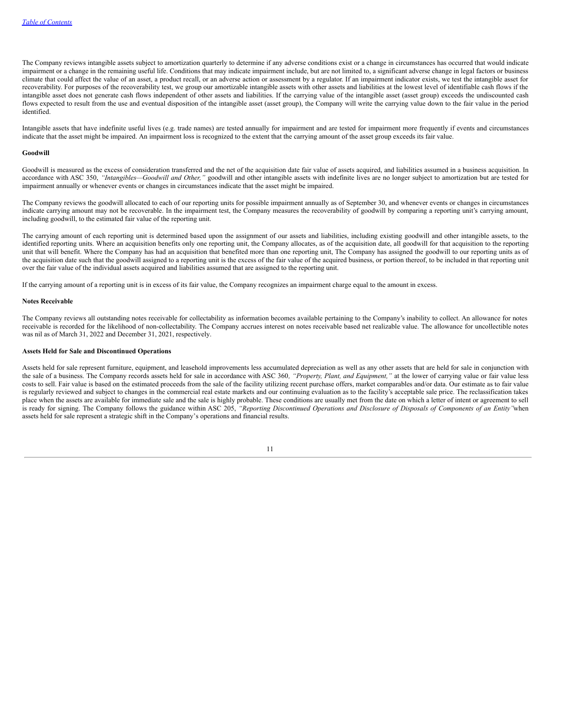The Company reviews intangible assets subject to amortization quarterly to determine if any adverse conditions exist or a change in circumstances has occurred that would indicate impairment or a change in the remaining useful life. Conditions that may indicate impairment include, but are not limited to, a significant adverse change in legal factors or business climate that could affect the value of an asset, a product recall, or an adverse action or assessment by a regulator. If an impairment indicator exists, we test the intangible asset for recoverability. For purposes of the recoverability test, we group our amortizable intangible assets with other assets and liabilities at the lowest level of identifiable cash flows if the intangible asset does not generate cash flows independent of other assets and liabilities. If the carrying value of the intangible asset (asset group) exceeds the undiscounted cash flows expected to result from the use and eventual disposition of the intangible asset (asset group), the Company will write the carrying value down to the fair value in the period identified.

Intangible assets that have indefinite useful lives (e.g. trade names) are tested annually for impairment and are tested for impairment more frequently if events and circumstances indicate that the asset might be impaired. An impairment loss is recognized to the extent that the carrying amount of the asset group exceeds its fair value.

#### **Goodwill**

Goodwill is measured as the excess of consideration transferred and the net of the acquisition date fair value of assets acquired, and liabilities assumed in a business acquisition. In accordance with ASC 350, *"Intangibles—Goodwill and Other,"* goodwill and other intangible assets with indefinite lives are no longer subject to amortization but are tested for impairment annually or whenever events or changes in circumstances indicate that the asset might be impaired.

The Company reviews the goodwill allocated to each of our reporting units for possible impairment annually as of September 30, and whenever events or changes in circumstances indicate carrying amount may not be recoverable. In the impairment test, the Company measures the recoverability of goodwill by comparing a reporting unit's carrying amount, including goodwill, to the estimated fair value of the reporting unit.

The carrying amount of each reporting unit is determined based upon the assignment of our assets and liabilities, including existing goodwill and other intangible assets, to the identified reporting units. Where an acquisition benefits only one reporting unit, the Company allocates, as of the acquisition date, all goodwill for that acquisition to the reporting unit that will benefit. Where the Company has had an acquisition that benefited more than one reporting unit, The Company has assigned the goodwill to our reporting units as of the acquisition date such that the goodwill assigned to a reporting unit is the excess of the fair value of the acquired business, or portion thereof, to be included in that reporting unit over the fair value of the individual assets acquired and liabilities assumed that are assigned to the reporting unit.

If the carrying amount of a reporting unit is in excess of its fair value, the Company recognizes an impairment charge equal to the amount in excess.

#### **Notes Receivable**

The Company reviews all outstanding notes receivable for collectability as information becomes available pertaining to the Company's inability to collect. An allowance for notes receivable is recorded for the likelihood of non-collectability. The Company accrues interest on notes receivable based net realizable value. The allowance for uncollectible notes was nil as of March 31, 2022 and December 31, 2021, respectively.

#### **Assets Held for Sale and Discontinued Operations**

Assets held for sale represent furniture, equipment, and leasehold improvements less accumulated depreciation as well as any other assets that are held for sale in conjunction with the sale of a business. The Company records assets held for sale in accordance with ASC 360*, "Property, Plant, and Equipment,"* at the lower of carrying value or fair value less costs to sell. Fair value is based on the estimated proceeds from the sale of the facility utilizing recent purchase offers, market comparables and/or data. Our estimate as to fair value is regularly reviewed and subject to changes in the commercial real estate markets and our continuing evaluation as to the facility's acceptable sale price. The reclassification takes place when the assets are available for immediate sale and the sale is highly probable. These conditions are usually met from the date on which a letter of intent or agreement to sell is ready for signing. The Company follows the guidance within ASC 205, "Reporting Discontinued Operations and Disclosure of Disposals of Components of an Entity "when assets held for sale represent a strategic shift in the Company's operations and financial results.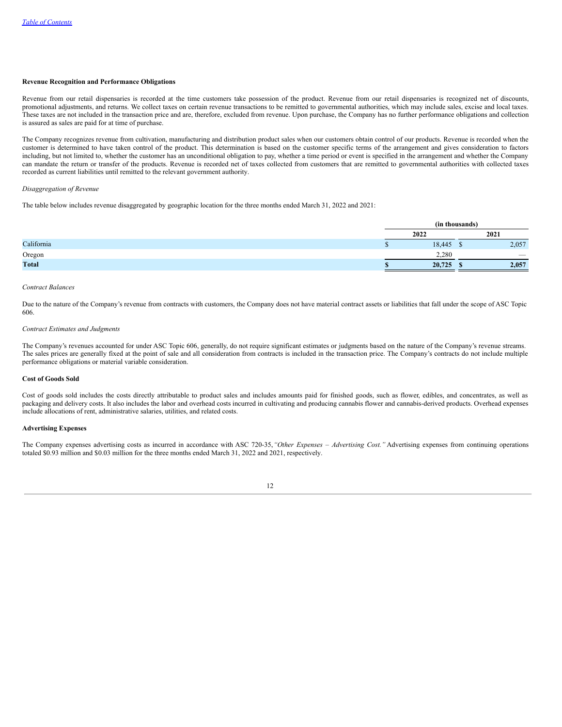#### **Revenue Recognition and Performance Obligations**

Revenue from our retail dispensaries is recorded at the time customers take possession of the product. Revenue from our retail dispensaries is recognized net of discounts, promotional adjustments, and returns. We collect taxes on certain revenue transactions to be remitted to governmental authorities, which may include sales, excise and local taxes. These taxes are not included in the transaction price and are, therefore, excluded from revenue. Upon purchase, the Company has no further performance obligations and collection is assured as sales are paid for at time of purchase.

The Company recognizes revenue from cultivation, manufacturing and distribution product sales when our customers obtain control of our products. Revenue is recorded when the customer is determined to have taken control of the product. This determination is based on the customer specific terms of the arrangement and gives consideration to factors including, but not limited to, whether the customer has an unconditional obligation to pay, whether a time period or event is specified in the arrangement and whether the Company can mandate the return or transfer of the products. Revenue is recorded net of taxes collected from customers that are remitted to governmental authorities with collected taxes recorded as current liabilities until remitted to the relevant government authority.

#### *Disaggregation of Revenue*

The table below includes revenue disaggregated by geographic location for the three months ended March 31, 2022 and 2021:

| (in thousands) |  |                          |  |
|----------------|--|--------------------------|--|
| 2022           |  | 2021                     |  |
| 18,445         |  | 2,057                    |  |
| 2.280          |  | $\overline{\phantom{a}}$ |  |
| 20,725         |  | 2,057                    |  |
|                |  |                          |  |

#### *Contract Balances*

Due to the nature of the Company's revenue from contracts with customers, the Company does not have material contract assets or liabilities that fall under the scope of ASC Topic 606.

#### *Contract Estimates and Judgments*

The Company's revenues accounted for under ASC Topic 606, generally, do not require significant estimates or judgments based on the nature of the Company's revenue streams. The sales prices are generally fixed at the point of sale and all consideration from contracts is included in the transaction price. The Company's contracts do not include multiple performance obligations or material variable consideration.

#### **Cost of Goods Sold**

Cost of goods sold includes the costs directly attributable to product sales and includes amounts paid for finished goods, such as flower, edibles, and concentrates, as well as packaging and delivery costs. It also includes the labor and overhead costs incurred in cultivating and producing cannabis flower and cannabis-derived products. Overhead expenses include allocations of rent, administrative salaries, utilities, and related costs.

### **Advertising Expenses**

The Company expenses advertising costs as incurred in accordance with ASC 720-35,*"Other Expenses – Advertising Cost."* Advertising expenses from continuing operations totaled \$0.93 million and \$0.03 million for the three months ended March 31, 2022 and 2021, respectively.

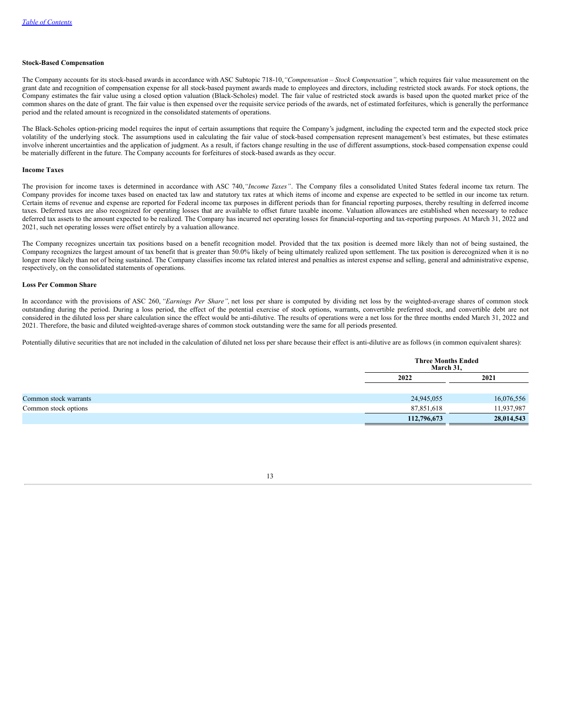#### **Stock-Based Compensation**

The Company accounts for its stock-based awards in accordance with ASC Subtopic 718-10,*"Compensation – Stock Compensation",* which requires fair value measurement on the grant date and recognition of compensation expense for all stock-based payment awards made to employees and directors, including restricted stock awards. For stock options, the Company estimates the fair value using a closed option valuation (Black-Scholes) model. The fair value of restricted stock awards is based upon the quoted market price of the common shares on the date of grant. The fair value is then expensed over the requisite service periods of the awards, net of estimated forfeitures, which is generally the performance period and the related amount is recognized in the consolidated statements of operations.

The Black-Scholes option-pricing model requires the input of certain assumptions that require the Company's judgment, including the expected term and the expected stock price volatility of the underlying stock. The assumptions used in calculating the fair value of stock-based compensation represent management's best estimates, but these estimates involve inherent uncertainties and the application of judgment. As a result, if factors change resulting in the use of different assumptions, stock-based compensation expense could be materially different in the future. The Company accounts for forfeitures of stock-based awards as they occur.

#### **Income Taxes**

The provision for income taxes is determined in accordance with ASC 740,*"Income Taxes"*. The Company files a consolidated United States federal income tax return. The Company provides for income taxes based on enacted tax law and statutory tax rates at which items of income and expense are expected to be settled in our income tax return. Certain items of revenue and expense are reported for Federal income tax purposes in different periods than for financial reporting purposes, thereby resulting in deferred income taxes. Deferred taxes are also recognized for operating losses that are available to offset future taxable income. Valuation allowances are established when necessary to reduce deferred tax assets to the amount expected to be realized. The Company has incurred net operating losses for financial-reporting and tax-reporting purposes. At March 31, 2022 and 2021, such net operating losses were offset entirely by a valuation allowance.

The Company recognizes uncertain tax positions based on a benefit recognition model. Provided that the tax position is deemed more likely than not of being sustained, the Company recognizes the largest amount of tax benefit that is greater than 50.0% likely of being ultimately realized upon settlement. The tax position is derecognized when it is no longer more likely than not of being sustained. The Company classifies income tax related interest and penalties as interest expense and selling, general and administrative expense, respectively, on the consolidated statements of operations.

#### **Loss Per Common Share**

In accordance with the provisions of ASC 260, *"Earnings Per Share",* net loss per share is computed by dividing net loss by the weighted-average shares of common stock outstanding during the period. During a loss period, the effect of the potential exercise of stock options, warrants, convertible preferred stock, and convertible debt are not considered in the diluted loss per share calculation since the effect would be anti-dilutive. The results of operations were a net loss for the three months ended March 31, 2022 and 2021. Therefore, the basic and diluted weighted-average shares of common stock outstanding were the same for all periods presented.

Potentially dilutive securities that are not included in the calculation of diluted net loss per share because their effect is anti-dilutive are as follows (in common equivalent shares):

|                       | <b>Three Months Ended</b><br>March 31, |            |
|-----------------------|----------------------------------------|------------|
|                       | 2022                                   | 2021       |
| Common stock warrants | 24,945,055                             | 16,076,556 |
| Common stock options  | 87,851,618                             | 11,937,987 |
|                       | 112,796,673                            | 28,014,543 |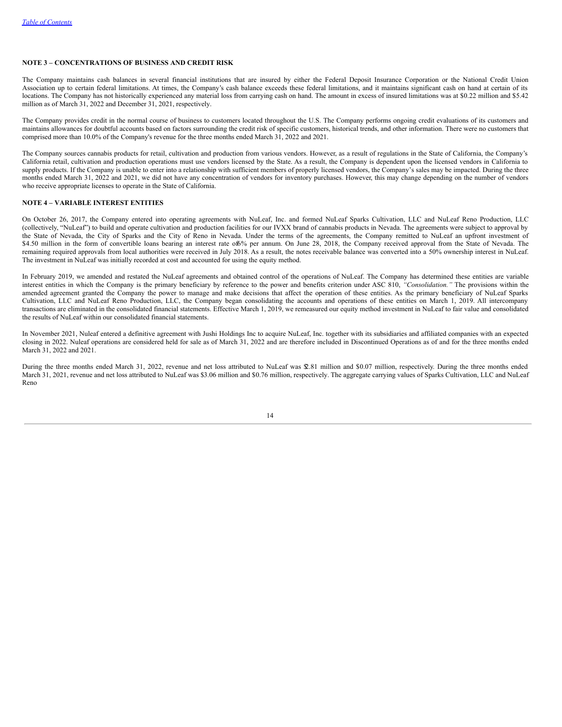### **NOTE 3 – CONCENTRATIONS OF BUSINESS AND CREDIT RISK**

The Company maintains cash balances in several financial institutions that are insured by either the Federal Deposit Insurance Corporation or the National Credit Union Association up to certain federal limitations. At times, the Company's cash balance exceeds these federal limitations, and it maintains significant cash on hand at certain of its locations. The Company has not historically experienced any material loss from carrying cash on hand. The amount in excess of insured limitations was at \$0.22 million and \$5.42 million as of March 31, 2022 and December 31, 2021, respectively.

The Company provides credit in the normal course of business to customers located throughout the U.S. The Company performs ongoing credit evaluations of its customers and maintains allowances for doubtful accounts based on factors surrounding the credit risk of specific customers, historical trends, and other information. There were no customers that comprised more than 10.0% of the Company's revenue for the three months ended March 31, 2022 and 2021.

The Company sources cannabis products for retail, cultivation and production from various vendors. However, as a result of regulations in the State of California, the Company's California retail, cultivation and production operations must use vendors licensed by the State. As a result, the Company is dependent upon the licensed vendors in California to supply products. If the Company is unable to enter into a relationship with sufficient members of properly licensed vendors, the Company's sales may be impacted. During the three months ended March 31, 2022 and 2021, we did not have any concentration of vendors for inventory purchases. However, this may change depending on the number of vendors who receive appropriate licenses to operate in the State of California.

### **NOTE 4 – VARIABLE INTEREST ENTITIES**

On October 26, 2017, the Company entered into operating agreements with NuLeaf, Inc. and formed NuLeaf Sparks Cultivation, LLC and NuLeaf Reno Production, LLC (collectively, "NuLeaf") to build and operate cultivation and production facilities for our IVXX brand of cannabis products in Nevada. The agreements were subject to approval by the State of Nevada, the City of Sparks and the City of Reno in Nevada. Under the terms of the agreements, the Company remitted to NuLeaf an upfront investment of \$4.50 million in the form of convertible loans bearing an interest rate of6% per annum. On June 28, 2018, the Company received approval from the State of Nevada. The remaining required approvals from local authorities were received in July 2018. As a result, the notes receivable balance was converted into a 50% ownership interest in NuLeaf. The investment in NuLeaf was initially recorded at cost and accounted for using the equity method.

In February 2019, we amended and restated the NuLeaf agreements and obtained control of the operations of NuLeaf. The Company has determined these entities are variable interest entities in which the Company is the primary beneficiary by reference to the power and benefits criterion under ASC 810, *"Consolidation."* The provisions within the amended agreement granted the Company the power to manage and make decisions that affect the operation of these entities. As the primary beneficiary of NuLeaf Sparks Cultivation, LLC and NuLeaf Reno Production, LLC, the Company began consolidating the accounts and operations of these entities on March 1, 2019. All intercompany transactions are eliminated in the consolidated financial statements. Effective March 1, 2019, we remeasured our equity method investment in NuLeaf to fair value and consolidated the results of NuLeaf within our consolidated financial statements.

In November 2021, Nuleaf entered a definitive agreement with Jushi Holdings Inc to acquire NuLeaf, Inc. together with its subsidiaries and affiliated companies with an expected closing in 2022. Nuleaf operations are considered held for sale as of March 31, 2022 and are therefore included in Discontinued Operations as of and for the three months ended March 31, 2022 and 2021.

During the three months ended March 31, 2022, revenue and net loss attributed to NuLeaf was \$2.81 million and \$0.07 million, respectively. During the three months ended March 31, 2021, revenue and net loss attributed to NuLeaf was \$3.06 million and \$0.76 million, respectively. The aggregate carrying values of Sparks Cultivation, LLC and NuLeaf Reno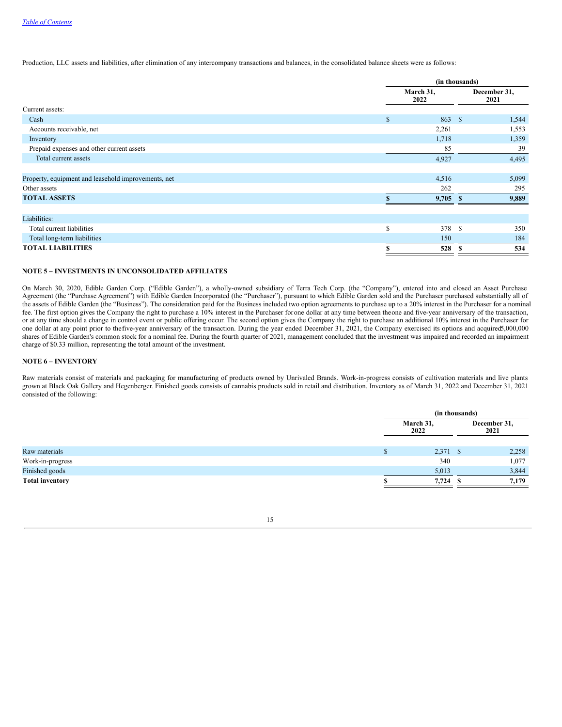Production, LLC assets and liabilities, after elimination of any intercompany transactions and balances, in the consolidated balance sheets were as follows:

|                                                     |                   | (in thousands) |                      |  |  |
|-----------------------------------------------------|-------------------|----------------|----------------------|--|--|
|                                                     | March 31,<br>2022 |                | December 31,<br>2021 |  |  |
| Current assets:                                     |                   |                |                      |  |  |
| Cash                                                | \$                | 863 \$         | 1,544                |  |  |
| Accounts receivable, net                            |                   | 2,261          | 1,553                |  |  |
| Inventory                                           |                   | 1,718          | 1,359                |  |  |
| Prepaid expenses and other current assets           |                   | 85             | 39                   |  |  |
| Total current assets                                |                   | 4,927          | 4,495                |  |  |
|                                                     |                   |                |                      |  |  |
| Property, equipment and leasehold improvements, net |                   | 4,516          | 5,099                |  |  |
| Other assets                                        |                   | 262            | 295                  |  |  |
| <b>TOTAL ASSETS</b>                                 |                   | $9,705$ \$     | 9,889                |  |  |
|                                                     |                   |                |                      |  |  |
| Liabilities:                                        |                   |                |                      |  |  |
| Total current liabilities                           | S                 | 378 \$         | 350                  |  |  |
| Total long-term liabilities                         |                   | 150            | 184                  |  |  |
| <b>TOTAL LIABILITIES</b>                            |                   | 528            | 534                  |  |  |
|                                                     |                   |                |                      |  |  |

### **NOTE 5 – INVESTMENTS IN UNCONSOLIDATED AFFILIATES**

On March 30, 2020, Edible Garden Corp. ("Edible Garden"), a wholly-owned subsidiary of Terra Tech Corp. (the "Company"), entered into and closed an Asset Purchase Agreement (the "Purchase Agreement") with Edible Garden Incorporated (the "Purchaser"), pursuant to which Edible Garden sold and the Purchaser purchased substantially all of the assets of Edible Garden (the "Business"). The consideration paid for the Business included two option agreements to purchase up to a 20% interest in the Purchaser for a nominal fee. The first option gives the Company the right to purchase a 10% interest in the Purchaser forone dollar at any time between theone and five-year anniversary of the transaction, or at any time should a change in control event or public offering occur. The second option gives the Company the right to purchase an additional 10% interest in the Purchaser for one dollar at any point prior to thefive-year anniversary of the transaction. During the year ended December 31, 2021, the Company exercised its options and acquired5,000,000 shares of Edible Garden's common stock for a nominal fee. During the fourth quarter of 2021, management concluded that the investment was impaired and recorded an impairment charge of \$0.33 million, representing the total amount of the investment.

### **NOTE 6 – INVENTORY**

Raw materials consist of materials and packaging for manufacturing of products owned by Unrivaled Brands. Work-in-progress consists of cultivation materials and live plants grown at Black Oak Gallery and Hegenberger. Finished goods consists of cannabis products sold in retail and distribution. Inventory as of March 31, 2022 and December 31, 2021 consisted of the following:

|                        | (in thousands)    |      |       |  |                      |
|------------------------|-------------------|------|-------|--|----------------------|
|                        | March 31,<br>2022 |      |       |  | December 31,<br>2021 |
|                        |                   |      |       |  |                      |
| Raw materials          | $2,371$ \$        |      | 2,258 |  |                      |
| Work-in-progress       | 340               |      | 1,077 |  |                      |
| Finished goods         | 5,013             |      | 3,844 |  |                      |
| <b>Total inventory</b> | 7,724             | - \$ | 7,179 |  |                      |

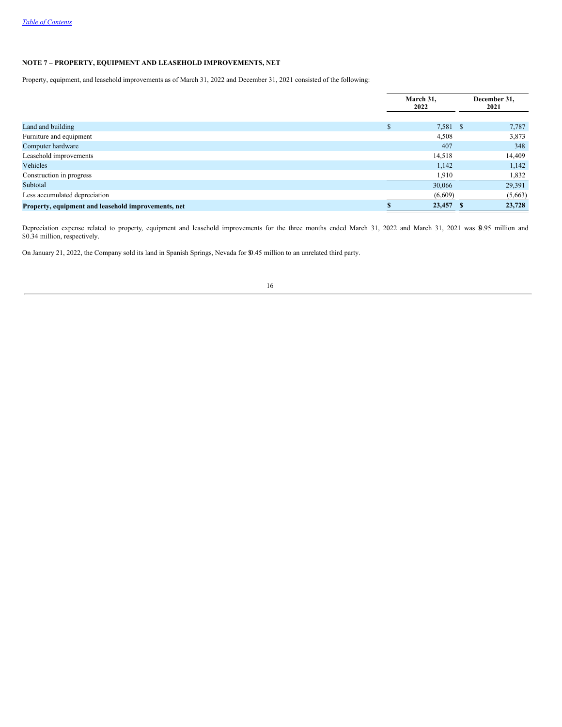# **NOTE 7 – PROPERTY, EQUIPMENT AND LEASEHOLD IMPROVEMENTS, NET**

Property, equipment, and leasehold improvements as of March 31, 2022 and December 31, 2021 consisted of the following:

|                                                     |          | March 31.<br>2022 | December 31,<br>2021 |
|-----------------------------------------------------|----------|-------------------|----------------------|
|                                                     | $\sigma$ |                   |                      |
| Land and building                                   | ъ        | 7,581 \$          | 7,787                |
| Furniture and equipment                             |          | 4,508             | 3,873                |
| Computer hardware                                   |          | 407               | 348                  |
| Leasehold improvements                              |          | 14,518            | 14,409               |
| Vehicles                                            |          | 1,142             | 1,142                |
| Construction in progress                            |          | 1,910             | 1,832                |
| Subtotal                                            |          | 30,066            | 29,391               |
| Less accumulated depreciation                       |          | (6,609)           | (5,663)              |
| Property, equipment and leasehold improvements, net |          | 23,457            | 23,728               |

Depreciation expense related to property, equipment and leasehold improvements for the three months ended March 31, 2022 and March 31, 2021 was \$0.95 million and \$0.34 million, respectively.

On January 21, 2022, the Company sold its land in Spanish Springs, Nevada for \$0.45 million to an unrelated third party.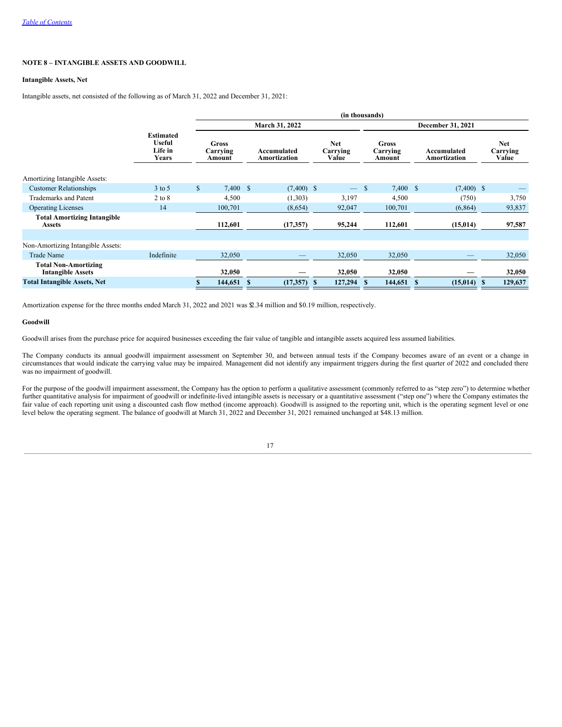### **NOTE 8 – INTANGIBLE ASSETS AND GOODWILL**

### **Intangible Assets, Net**

Intangible assets, net consisted of the following as of March 31, 2022 and December 31, 2021:

|                                                         | (in thousands)                                        |              |          |              |                                    |    |                                    |               |                                 |   |                                    |  |                             |  |                                 |
|---------------------------------------------------------|-------------------------------------------------------|--------------|----------|--------------|------------------------------------|----|------------------------------------|---------------|---------------------------------|---|------------------------------------|--|-----------------------------|--|---------------------------------|
|                                                         |                                                       |              |          |              | March 31, 2022                     |    |                                    |               |                                 |   | December 31, 2021                  |  |                             |  |                                 |
|                                                         | <b>Estimated</b><br><b>Useful</b><br>Life in<br>Years |              |          |              | <b>Gross</b><br>Carrying<br>Amount |    | Accumulated<br><b>Amortization</b> |               | <b>Net</b><br>Carrying<br>Value |   | <b>Gross</b><br>Carrying<br>Amount |  | Accumulated<br>Amortization |  | <b>Net</b><br>Carrying<br>Value |
| <b>Amortizing Intangible Assets:</b>                    |                                                       |              |          |              |                                    |    |                                    |               |                                 |   |                                    |  |                             |  |                                 |
| <b>Customer Relationships</b>                           | $3$ to 5                                              | $\mathbb{S}$ | 7,400 \$ |              | $(7,400)$ \$                       |    |                                    | <sup>\$</sup> | 7,400 \$                        |   | $(7,400)$ \$                       |  |                             |  |                                 |
| <b>Trademarks and Patent</b>                            | $2$ to $8$                                            |              | 4,500    |              | (1,303)                            |    | 3,197                              |               | 4,500                           |   | (750)                              |  | 3,750                       |  |                                 |
| <b>Operating Licenses</b>                               | 14                                                    |              | 100,701  |              | (8,654)                            |    | 92,047                             |               | 100,701                         |   | (6,864)                            |  | 93,837                      |  |                                 |
| <b>Total Amortizing Intangible</b><br><b>Assets</b>     |                                                       |              | 112,601  |              | (17, 357)                          |    | 95,244                             |               | 112,601                         |   | (15, 014)                          |  | 97,587                      |  |                                 |
|                                                         |                                                       |              |          |              |                                    |    |                                    |               |                                 |   |                                    |  |                             |  |                                 |
| Non-Amortizing Intangible Assets:                       |                                                       |              |          |              |                                    |    |                                    |               |                                 |   |                                    |  |                             |  |                                 |
| <b>Trade Name</b>                                       | Indefinite                                            |              | 32,050   |              |                                    |    | 32,050                             |               | 32,050                          |   |                                    |  | 32,050                      |  |                                 |
| <b>Total Non-Amortizing</b><br><b>Intangible Assets</b> |                                                       |              | 32,050   |              |                                    |    | 32,050                             |               | 32,050                          |   |                                    |  | 32,050                      |  |                                 |
| <b>Total Intangible Assets, Net</b>                     |                                                       |              | 144,651  | $\mathbf{s}$ | (17, 357)                          | -8 | 127,294                            |               | 144,651                         | S | $(15,014)$ \$                      |  | 129,637                     |  |                                 |

Amortization expense for the three months ended March 31, 2022 and 2021 was \$2.34 million and \$0.19 million, respectively.

#### **Goodwill**

Goodwill arises from the purchase price for acquired businesses exceeding the fair value of tangible and intangible assets acquired less assumed liabilities.

The Company conducts its annual goodwill impairment assessment on September 30, and between annual tests if the Company becomes aware of an event or a change in circumstances that would indicate the carrying value may be impaired. Management did not identify any impairment triggers during the first quarter of 2022 and concluded there was no impairment of goodwill.

For the purpose of the goodwill impairment assessment, the Company has the option to perform a qualitative assessment (commonly referred to as "step zero") to determine whether further quantitative analysis for impairment of goodwill or indefinite-lived intangible assets is necessary or a quantitative assessment ("step one") where the Company estimates the fair value of each reporting unit using a discounted cash flow method (income approach). Goodwill is assigned to the reporting unit, which is the operating segment level or one level below the operating segment. The balance of goodwill at March 31, 2022 and December 31, 2021 remained unchanged at \$48.13 million.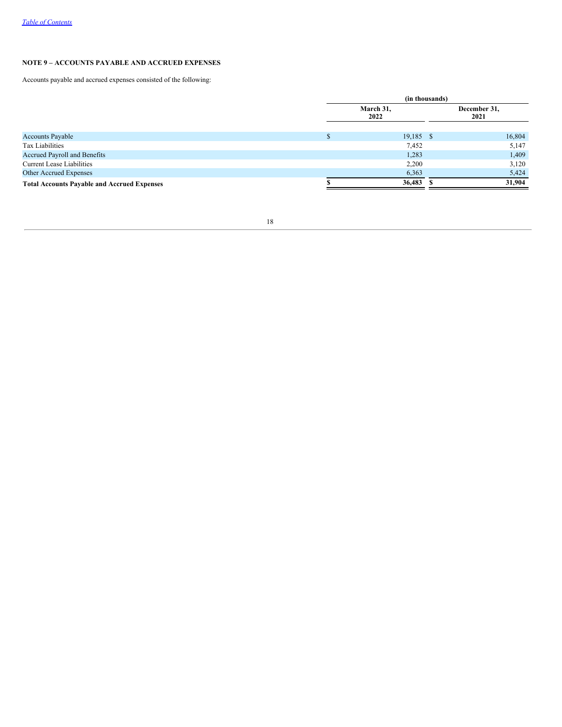# **NOTE 9 – ACCOUNTS PAYABLE AND ACCRUED EXPENSES**

Accounts payable and accrued expenses consisted of the following:

|                                                    | (in thousands)    |             |  |                      |  |
|----------------------------------------------------|-------------------|-------------|--|----------------------|--|
|                                                    | March 31,<br>2022 |             |  | December 31,<br>2021 |  |
| <b>Accounts Payable</b>                            |                   | $19,185$ \$ |  | 16,804               |  |
| Tax Liabilities                                    |                   | 7,452       |  | 5,147                |  |
| Accrued Payroll and Benefits                       |                   | 1,283       |  | 1,409                |  |
| <b>Current Lease Liabilities</b>                   |                   | 2,200       |  | 3,120                |  |
| <b>Other Accrued Expenses</b>                      |                   | 6,363       |  | 5,424                |  |
| <b>Total Accounts Payable and Accrued Expenses</b> |                   | 36,483      |  | 31,904               |  |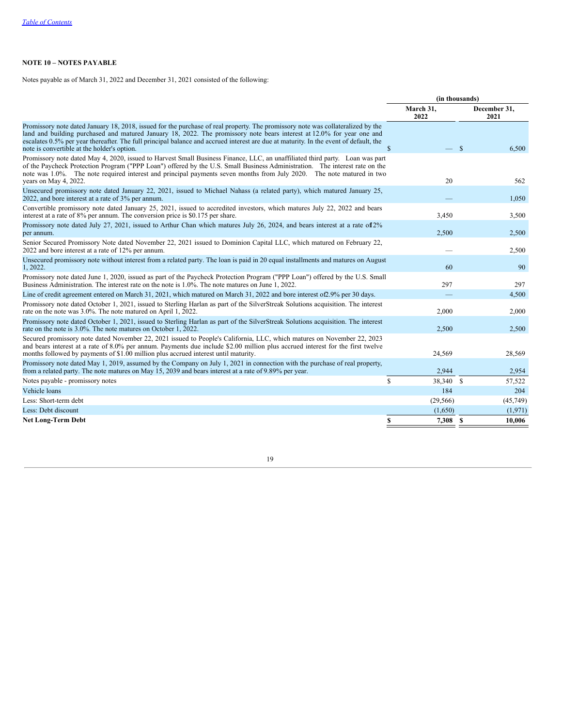# **NOTE 10 – NOTES PAYABLE**

Notes payable as of March 31, 2022 and December 31, 2021 consisted of the following:

|                                                                                                                                                                                                                                                                                                                                                                                                                                                   | (in thousands)    |                        |  |
|---------------------------------------------------------------------------------------------------------------------------------------------------------------------------------------------------------------------------------------------------------------------------------------------------------------------------------------------------------------------------------------------------------------------------------------------------|-------------------|------------------------|--|
|                                                                                                                                                                                                                                                                                                                                                                                                                                                   | March 31,<br>2022 | December 31,<br>2021   |  |
| Promissory note dated January 18, 2018, issued for the purchase of real property. The promissory note was collateralized by the<br>land and building purchased and matured January 18, 2022. The promissory note bears interest at 12.0% for year one and<br>escalates 0.5% per year thereafter. The full principal balance and accrued interest are due at maturity. In the event of default, the<br>note is convertible at the holder's option. | $\mathbf S$       | $\mathcal{S}$<br>6.500 |  |
| Promissory note dated May 4, 2020, issued to Harvest Small Business Finance, LLC, an unaffiliated third party. Loan was part<br>of the Paycheck Protection Program ("PPP Loan") offered by the U.S. Small Business Administration. The interest rate on the<br>note was 1.0%. The note required interest and principal payments seven months from July 2020. The note matured in two<br>years on May 4, 2022.                                     | 20                | 562                    |  |
| Unsecured promissory note dated January 22, 2021, issued to Michael Nahass (a related party), which matured January 25,<br>2022, and bore interest at a rate of 3% per annum.                                                                                                                                                                                                                                                                     |                   | 1,050                  |  |
| Convertible promissory note dated January 25, 2021, issued to accredited investors, which matures July 22, 2022 and bears<br>interest at a rate of 8% per annum. The conversion price is \$0.175 per share.                                                                                                                                                                                                                                       | 3,450             | 3,500                  |  |
| Promissory note dated July 27, 2021, issued to Arthur Chan which matures July 26, 2024, and bears interest at a rate of 2%<br>per annum.                                                                                                                                                                                                                                                                                                          | 2,500             | 2,500                  |  |
| Senior Secured Promissory Note dated November 22, 2021 issued to Dominion Capital LLC, which matured on February 22,<br>2022 and bore interest at a rate of 12% per annum.                                                                                                                                                                                                                                                                        |                   | 2,500                  |  |
| Unsecured promissory note without interest from a related party. The loan is paid in 20 equal installments and matures on August<br>1, 2022.                                                                                                                                                                                                                                                                                                      | 60                | 90                     |  |
| Promissory note dated June 1, 2020, issued as part of the Paycheck Protection Program ("PPP Loan") offered by the U.S. Small<br>Business Administration. The interest rate on the note is 1.0%. The note matures on June 1, 2022.                                                                                                                                                                                                                 | 297               | 297                    |  |
| Line of credit agreement entered on March 31, 2021, which matured on March 31, 2022 and bore interest of 2.9% per 30 days.                                                                                                                                                                                                                                                                                                                        |                   | 4,500                  |  |
| Promissory note dated October 1, 2021, issued to Sterling Harlan as part of the SilverStreak Solutions acquisition. The interest<br>rate on the note was 3.0%. The note matured on April 1, 2022.                                                                                                                                                                                                                                                 | 2,000             | 2,000                  |  |
| Promissory note dated October 1, 2021, issued to Sterling Harlan as part of the SilverStreak Solutions acquisition. The interest<br>rate on the note is 3.0%. The note matures on October 1, 2022.                                                                                                                                                                                                                                                | 2,500             | 2,500                  |  |
| Secured promissory note dated November 22, 2021 issued to People's California, LLC, which matures on November 22, 2023<br>and bears interest at a rate of 8.0% per annum. Payments due include \$2.00 million plus accrued interest for the first twelve<br>months followed by payments of \$1.00 million plus accrued interest until maturity.                                                                                                   | 24,569            | 28,569                 |  |
| Promissory note dated May 1, 2019, assumed by the Company on July 1, 2021 in connection with the purchase of real property,<br>from a related party. The note matures on May 15, 2039 and bears interest at a rate of 9.89% per year.                                                                                                                                                                                                             | 2,944             | 2,954                  |  |
| Notes payable - promissory notes                                                                                                                                                                                                                                                                                                                                                                                                                  | \$<br>38,340 \$   | 57,522                 |  |
| Vehicle loans                                                                                                                                                                                                                                                                                                                                                                                                                                     | 184               | 204                    |  |
| Less: Short-term debt                                                                                                                                                                                                                                                                                                                                                                                                                             | (29, 566)         | (45,749)               |  |
| Less: Debt discount                                                                                                                                                                                                                                                                                                                                                                                                                               | (1,650)           | (1,971)                |  |
| <b>Net Long-Term Debt</b>                                                                                                                                                                                                                                                                                                                                                                                                                         | \$<br>7,308 \$    | 10,006                 |  |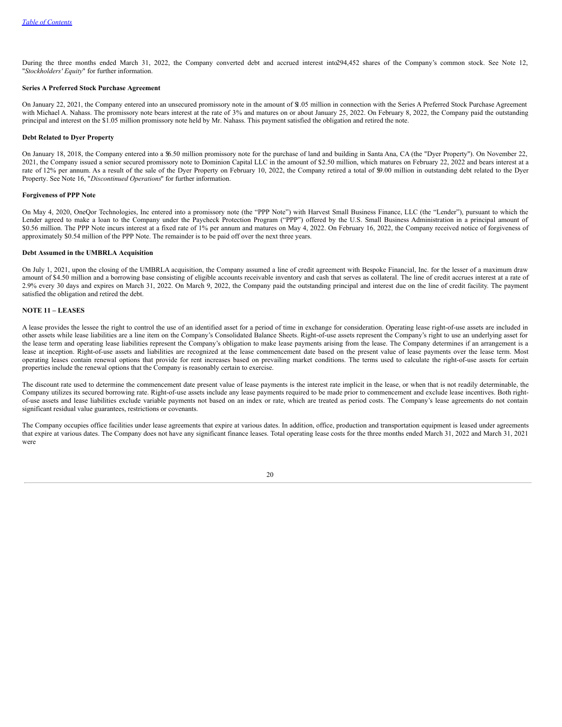During the three months ended March 31, 2022, the Company converted debt and accrued interest into294,452 shares of the Company's common stock. See Note 12, "*Stockholders' Equity*" for further information.

### **Series A Preferred Stock Purchase Agreement**

On January 22, 2021, the Company entered into an unsecured promissory note in the amount of \$1.05 million in connection with the Series A Preferred Stock Purchase Agreement with Michael A. Nahass. The promissory note bears interest at the rate of 3% and matures on or about January 25, 2022. On February 8, 2022, the Company paid the outstanding principal and interest on the \$1.05 million promissory note held by Mr. Nahass. This payment satisfied the obligation and retired the note.

#### **Debt Related to Dyer Property**

On January 18, 2018, the Company entered into a \$6.50 million promissory note for the purchase of land and building in Santa Ana, CA (the "Dyer Property"). On November 22, 2021, the Company issued a senior secured promissory note to Dominion Capital LLC in the amount of \$2.50 million, which matures on February 22, 2022 and bears interest at a rate of 12% per annum. As a result of the sale of the Dyer Property on February 10, 2022, the Company retired a total of \$9.00 million in outstanding debt related to the Dyer Property. See Note 16, "*Discontinued Operations*" for further information.

#### **Forgiveness of PPP Note**

On May 4, 2020, OneQor Technologies, Inc entered into a promissory note (the "PPP Note") with Harvest Small Business Finance, LLC (the "Lender"), pursuant to which the Lender agreed to make a loan to the Company under the Paycheck Protection Program ("PPP") offered by the U.S. Small Business Administration in a principal amount of \$0.56 million. The PPP Note incurs interest at a fixed rate of 1% per annum and matures on May 4, 2022. On February 16, 2022, the Company received notice of forgiveness of approximately \$0.54 million of the PPP Note. The remainder is to be paid off over the next three years.

#### **Debt Assumed in the UMBRLA Acquisition**

On July 1, 2021, upon the closing of the UMBRLA acquisition, the Company assumed a line of credit agreement with Bespoke Financial, Inc. for the lesser of a maximum draw amount of \$4.50 million and a borrowing base consisting of eligible accounts receivable inventory and cash that serves as collateral. The line of credit accrues interest at a rate of 2.9% every 30 days and expires on March 31, 2022. On March 9, 2022, the Company paid the outstanding principal and interest due on the line of credit facility. The payment satisfied the obligation and retired the debt.

### **NOTE 11 – LEASES**

A lease provides the lessee the right to control the use of an identified asset for a period of time in exchange for consideration. Operating lease right-of-use assets are included in other assets while lease liabilities are a line item on the Company's Consolidated Balance Sheets. Right-of-use assets represent the Company's right to use an underlying asset for the lease term and operating lease liabilities represent the Company's obligation to make lease payments arising from the lease. The Company determines if an arrangement is a lease at inception. Right-of-use assets and liabilities are recognized at the lease commencement date based on the present value of lease payments over the lease term. Most operating leases contain renewal options that provide for rent increases based on prevailing market conditions. The terms used to calculate the right-of-use assets for certain properties include the renewal options that the Company is reasonably certain to exercise.

The discount rate used to determine the commencement date present value of lease payments is the interest rate implicit in the lease, or when that is not readily determinable, the Company utilizes its secured borrowing rate. Right-of-use assets include any lease payments required to be made prior to commencement and exclude lease incentives. Both rightof-use assets and lease liabilities exclude variable payments not based on an index or rate, which are treated as period costs. The Company's lease agreements do not contain significant residual value guarantees, restrictions or covenants.

The Company occupies office facilities under lease agreements that expire at various dates. In addition, office, production and transportation equipment is leased under agreements that expire at various dates. The Company does not have any significant finance leases. Total operating lease costs for the three months ended March 31, 2022 and March 31, 2021 were

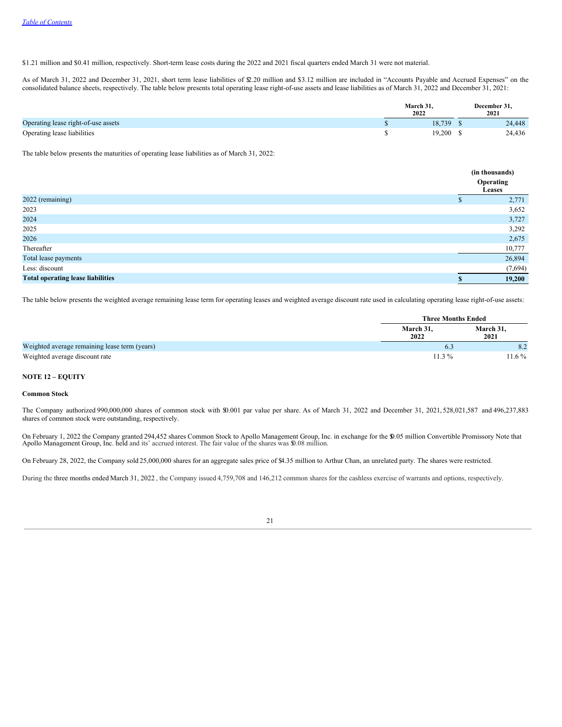\$1.21 million and \$0.41 million, respectively. Short-term lease costs during the 2022 and 2021 fiscal quarters ended March 31 were not material.

As of March 31, 2022 and December 31, 2021, short term lease liabilities of \$2.20 million and \$3.12 million are included in "Accounts Payable and Accrued Expenses" on the consolidated balance sheets, respectively. The table below presents total operating lease right-of-use assets and lease liabilities as of March 31, 2022 and December 31, 2021:

|                                     | March 31.<br>2022 | December 31,<br>2021 |
|-------------------------------------|-------------------|----------------------|
| Operating lease right-of-use assets | 18.739            | 24,448               |
| Operating lease liabilities         | 19.200            | 24,436               |

The table below presents the maturities of operating lease liabilities as of March 31, 2022:

|                                          |   | (in thousands)<br>Operating<br>Leases |
|------------------------------------------|---|---------------------------------------|
| 2022 (remaining)                         | æ | 2,771                                 |
| 2023                                     |   | 3,652                                 |
| 2024                                     |   | 3,727                                 |
| 2025                                     |   | 3,292                                 |
| 2026                                     |   | 2,675                                 |
| Thereafter                               |   | 10,777                                |
| Total lease payments                     |   | 26,894                                |
| Less: discount                           |   | (7,694)                               |
| <b>Total operating lease liabilities</b> |   | 19,200                                |

The table below presents the weighted average remaining lease term for operating leases and weighted average discount rate used in calculating operating lease right-of-use assets:

|                                               | <b>Three Months Ended</b> |                   |
|-----------------------------------------------|---------------------------|-------------------|
|                                               | March 31,<br>2022         | March 31,<br>2021 |
| Weighted average remaining lease term (years) |                           | 8.2               |
| Weighted average discount rate                | $11.3\%$                  | $1.6\%$           |

### **NOTE 12 – EQUITY**

# **Common Stock**

The Company authorized 990,000,000 shares of common stock with \$0.001 par value per share. As of March 31, 2022 and December 31, 2021, 528,021,587 and 496,237,883 shares of common stock were outstanding, respectively.

On February 1, 2022 the Company granted 294,452 shares Common Stock to Apollo Management Group, Inc. in exchange for the \$0.05 million Convertible Promissory Note that<br>Apollo Management Group, Inc. held and its' accrued in

On February 28, 2022, the Company sold 25,000,000 shares for an aggregate sales price of \$4.35 million to Arthur Chan, an unrelated party. The shares were restricted.

During the three months ended March 31, 2022 , the Company issued 4,759,708 and 146,212 common shares for the cashless exercise of warrants and options, respectively.

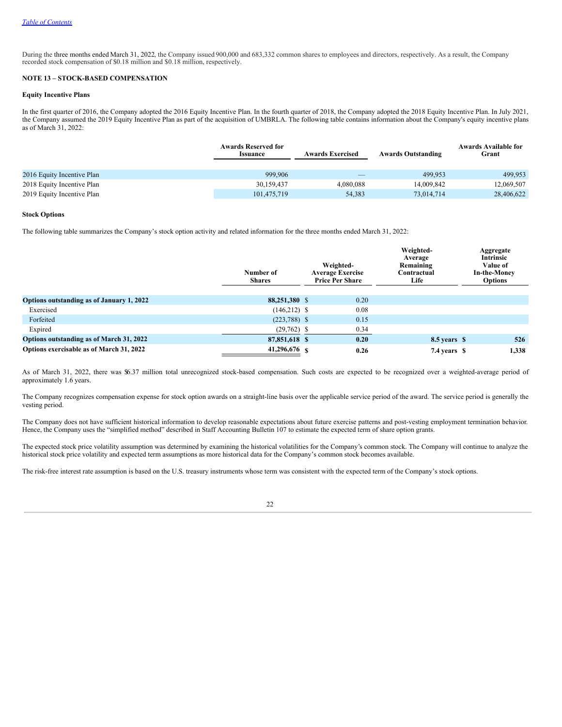During the three months ended March 31, 2022, the Company issued 900,000 and 683,332 common shares to employees and directors, respectively. As a result, the Company recorded stock compensation of \$0.18 million and \$0.18 million, respectively.

### **NOTE 13 – STOCK-BASED COMPENSATION**

### **Equity Incentive Plans**

In the first quarter of 2016, the Company adopted the 2016 Equity Incentive Plan. In the fourth quarter of 2018, the Company adopted the 2018 Equity Incentive Plan. In July 2021, the Company assumed the 2019 Equity Incentive Plan as part of the acquisition of UMBRLA. The following table contains information about the Company's equity incentive plans as of March 31, 2022:

|                            | <b>Awards Reserved for</b><br><b>Issuance</b> | <b>Awards Exercised</b> | <b>Awards Outstanding</b> | <b>Awards Available for</b><br>Grant |
|----------------------------|-----------------------------------------------|-------------------------|---------------------------|--------------------------------------|
| 2016 Equity Incentive Plan | 999.906                                       |                         | 499.953                   | 499.953                              |
| 2018 Equity Incentive Plan | 30.159.437                                    | 4.080.088               | 14,009,842                | 12,069,507                           |
| 2019 Equity Incentive Plan | 101.475.719                                   | 54,383                  | 73.014.714                | 28,406,622                           |

#### **Stock Options**

The following table summarizes the Company's stock option activity and related information for the three months ended March 31, 2022:

|                                           | Number of<br><b>Shares</b> | Weighted-<br><b>Average Exercise</b><br><b>Price Per Share</b> | Weighted-<br>Average<br>Remaining<br>Contractual<br>Life | Aggregate<br>Intrinsic<br>Value of<br><b>In-the-Money</b><br><b>Options</b> |
|-------------------------------------------|----------------------------|----------------------------------------------------------------|----------------------------------------------------------|-----------------------------------------------------------------------------|
| Options outstanding as of January 1, 2022 | 88,251,380 \$              | 0.20                                                           |                                                          |                                                                             |
| Exercised                                 | $(146,212)$ \$             | 0.08                                                           |                                                          |                                                                             |
| Forfeited                                 | $(223,788)$ \$             | 0.15                                                           |                                                          |                                                                             |
| Expired                                   | $(29,762)$ \$              | 0.34                                                           |                                                          |                                                                             |
| Options outstanding as of March 31, 2022  | 87,851,618 \$              | 0.20                                                           | 8.5 years \$                                             | 526                                                                         |
| Options exercisable as of March 31, 2022  | 41,296,676 \$              | 0.26                                                           | 7.4 years \$                                             | 1,338                                                                       |

As of March 31, 2022, there was \$6.37 million total unrecognized stock-based compensation. Such costs are expected to be recognized over a weighted-average period of approximately 1.6 years.

The Company recognizes compensation expense for stock option awards on a straight-line basis over the applicable service period of the award. The service period is generally the vesting period.

The Company does not have sufficient historical information to develop reasonable expectations about future exercise patterns and post-vesting employment termination behavior. Hence, the Company uses the "simplified method" described in Staff Accounting Bulletin 107 to estimate the expected term of share option grants.

The expected stock price volatility assumption was determined by examining the historical volatilities for the Company's common stock. The Company will continue to analyze the historical stock price volatility and expected term assumptions as more historical data for the Company's common stock becomes available.

The risk-free interest rate assumption is based on the U.S. treasury instruments whose term was consistent with the expected term of the Company's stock options.

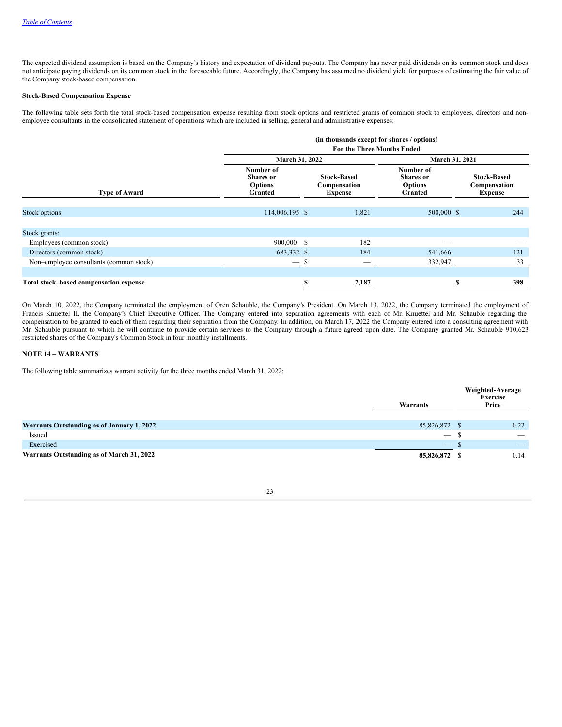The expected dividend assumption is based on the Company's history and expectation of dividend payouts. The Company has never paid dividends on its common stock and does not anticipate paying dividends on its common stock in the foreseeable future. Accordingly, the Company has assumed no dividend yield for purposes of estimating the fair value of the Company stock-based compensation.

### **Stock-Based Compensation Expense**

The following table sets forth the total stock-based compensation expense resulting from stock options and restricted grants of common stock to employees, directors and nonemployee consultants in the consolidated statement of operations which are included in selling, general and administrative expenses:

|                                         | (in thousands except for shares / options)                 |                                   |                                                      |                                                            |                                                      |  |  |  |  |  |
|-----------------------------------------|------------------------------------------------------------|-----------------------------------|------------------------------------------------------|------------------------------------------------------------|------------------------------------------------------|--|--|--|--|--|
|                                         |                                                            | <b>For the Three Months Ended</b> |                                                      |                                                            |                                                      |  |  |  |  |  |
|                                         | March 31, 2022                                             |                                   |                                                      | March 31, 2021                                             |                                                      |  |  |  |  |  |
| <b>Type of Award</b>                    | Number of<br><b>Shares</b> or<br><b>Options</b><br>Granted |                                   | <b>Stock-Based</b><br>Compensation<br><b>Expense</b> | Number of<br><b>Shares</b> or<br><b>Options</b><br>Granted | <b>Stock-Based</b><br>Compensation<br><b>Expense</b> |  |  |  |  |  |
| Stock options                           | 114,006,195 \$                                             |                                   | 1,821                                                | 500,000 \$                                                 | 244                                                  |  |  |  |  |  |
|                                         |                                                            |                                   |                                                      |                                                            |                                                      |  |  |  |  |  |
| Stock grants:                           |                                                            |                                   |                                                      |                                                            |                                                      |  |  |  |  |  |
| Employees (common stock)                | 900,000 \$                                                 |                                   | 182                                                  |                                                            |                                                      |  |  |  |  |  |
| Directors (common stock)                | 683,332 \$                                                 |                                   | 184                                                  | 541,666                                                    | 121                                                  |  |  |  |  |  |
| Non-employee consultants (common stock) | $\hspace{0.05cm}$                                          | -S                                | $\overline{\phantom{a}}$                             | 332,947                                                    | 33                                                   |  |  |  |  |  |
| Total stock-based compensation expense  |                                                            | ъ                                 | 2,187                                                |                                                            | 398                                                  |  |  |  |  |  |

On March 10, 2022, the Company terminated the employment of Oren Schauble, the Company's President. On March 13, 2022, the Company terminated the employment of Francis Knuettel II, the Company's Chief Executive Officer. The Company entered into separation agreements with each of Mr. Knuettel and Mr. Schauble regarding the compensation to be granted to each of them regarding their separation from the Company. In addition, on March 17, 2022 the Company entered into a consulting agreement with Mr. Schauble pursuant to which he will continue to provide certain services to the Company through a future agreed upon date. The Company granted Mr. Schauble 910,623 restricted shares of the Company's Common Stock in four monthly installments.

# **NOTE 14 – WARRANTS**

The following table summarizes warrant activity for the three months ended March 31, 2022:

|                                            | Warrants                        | Weighted-Average<br><b>Exercise</b><br>Price |
|--------------------------------------------|---------------------------------|----------------------------------------------|
| Warrants Outstanding as of January 1, 2022 | 85,826,872 \$                   | 0.22                                         |
| Issued                                     | $\hspace{0.1mm}-\hspace{0.1mm}$ | $\overline{\phantom{a}}$                     |
| Exercised                                  | $\overline{\phantom{a}}$        | $\overline{\phantom{a}}$                     |
| Warrants Outstanding as of March 31, 2022  | 85,826,872 \$                   | 0.14                                         |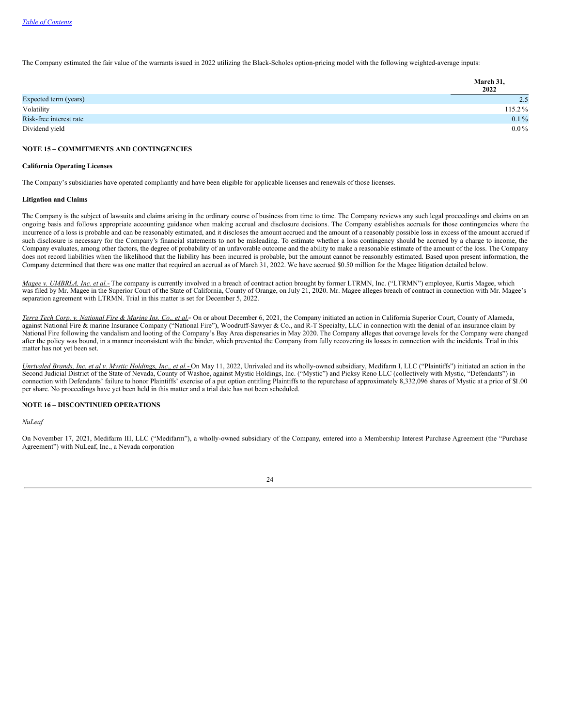The Company estimated the fair value of the warrants issued in 2022 utilizing the Black-Scholes option-pricing model with the following weighted-average inputs:

|                         | March 31,<br>2022 |
|-------------------------|-------------------|
| Expected term (years)   | 2.5               |
| Volatility              | 115.2%            |
| Risk-free interest rate | $0.1\%$           |
| Dividend yield          | $0.0\,\%$         |

### **NOTE 15 – COMMITMENTS AND CONTINGENCIES**

#### **California Operating Licenses**

The Company's subsidiaries have operated compliantly and have been eligible for applicable licenses and renewals of those licenses.

#### **Litigation and Claims**

The Company is the subject of lawsuits and claims arising in the ordinary course of business from time to time. The Company reviews any such legal proceedings and claims on an ongoing basis and follows appropriate accounting guidance when making accrual and disclosure decisions. The Company establishes accruals for those contingencies where the incurrence of a loss is probable and can be reasonably estimated, and it discloses the amount accrued and the amount of a reasonably possible loss in excess of the amount accrued if such disclosure is necessary for the Company's financial statements to not be misleading. To estimate whether a loss contingency should be accrued by a charge to income, the Company evaluates, among other factors, the degree of probability of an unfavorable outcome and the ability to make a reasonable estimate of the amount of the loss. The Company does not record liabilities when the likelihood that the liability has been incurred is probable, but the amount cannot be reasonably estimated. Based upon present information, the Company determined that there was one matter that required an accrual as of March 31, 2022. We have accrued \$0.50 million for the Magee litigation detailed below.

*Magee v. UMBRLA, Inc. et al.*- The company is currently involved in a breach of contract action brought by former LTRMN, Inc. ("LTRMN") employee, Kurtis Magee, which was filed by Mr. Magee in the Superior Court of the State of California, County of Orange, on July 21, 2020. Mr. Magee alleges breach of contract in connection with Mr. Magee's separation agreement with LTRMN. Trial in this matter is set for December 5, 2022.

Terra Tech Corp. v. National Fire & Marine Ins. Co., et al.- On or about December 6, 2021, the Company initiated an action in California Superior Court, County of Alameda, against National Fire & marine Insurance Company ("National Fire"), Woodruff-Sawyer & Co., and R-T Specialty, LLC in connection with the denial of an insurance claim by National Fire following the vandalism and looting of the Company's Bay Area dispensaries in May 2020. The Company alleges that coverage levels for the Company were changed after the policy was bound, in a manner inconsistent with the binder, which prevented the Company from fully recovering its losses in connection with the incidents. Trial in this matter has not yet been set.

Unrivaled Brands, Inc. et al v. Mystic Holdings, Inc., et al.-On May 11, 2022, Unrivaled and its wholly-owned subsidiary, Medifarm I, LLC ("Plaintiffs") initiated an action in the Second Judicial District of the State of Nevada, County of Washoe, against Mystic Holdings, Inc. ("Mystic") and Picksy Reno LLC (collectively with Mystic, "Defendants") in connection with Defendants' failure to honor Plaintiffs' exercise of a put option entitling Plaintiffs to the repurchase of approximately 8,332,096 shares of Mystic at a price of \$1.00 per share. No proceedings have yet been held in this matter and a trial date has not been scheduled.

### **NOTE 16 – DISCONTINUED OPERATIONS**

*NuLeaf*

On November 17, 2021, Medifarm III, LLC ("Medifarm"), a wholly-owned subsidiary of the Company, entered into a Membership Interest Purchase Agreement (the "Purchase Agreement") with NuLeaf, Inc., a Nevada corporation

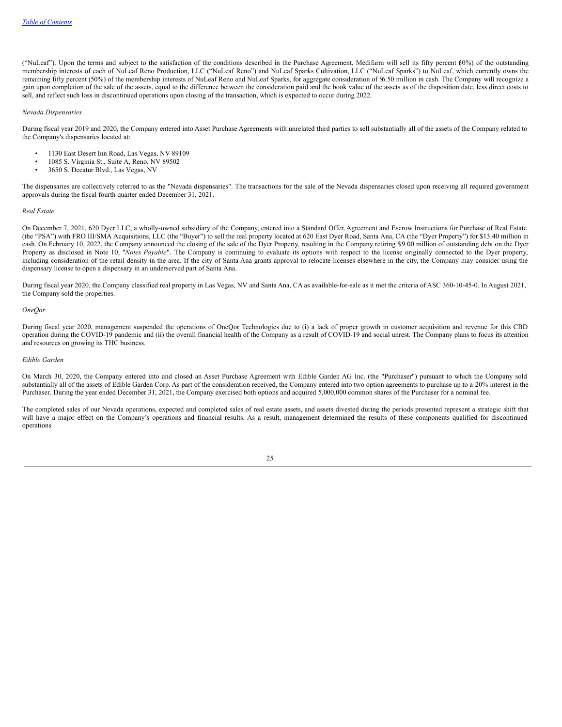("NuLeaf"). Upon the terms and subject to the satisfaction of the conditions described in the Purchase Agreement, Medifarm will sell its fifty percent 5(0%) of the outstanding membership interests of each of NuLeaf Reno Production, LLC ("NuLeaf Reno") and NuLeaf Sparks Cultivation, LLC ("NuLeaf Sparks") to NuLeaf, which currently owns the remaining fifty percent (50%) of the membership interests of NuLeaf Reno and NuLeaf Sparks, for aggregate consideration of \$6.50 million in cash. The Company will recognize a gain upon completion of the sale of the assets, equal to the difference between the consideration paid and the book value of the assets as of the disposition date, less direct costs to sell, and reflect such loss in discontinued operations upon closing of the transaction, which is expected to occur during 2022.

### *Nevada Dispensaries*

During fiscal year 2019 and 2020, the Company entered into Asset Purchase Agreements with unrelated third parties to sell substantially all of the assets of the Company related to the Company's dispensaries located at:

- 1130 East Desert Inn Road, Las Vegas, NV 89109
- $\cdot$  1085 S. Virginia St., Suite A, Reno, NV 89502<br> $\cdot$  3650 S. Decatur Blyd. Las Vegas, NV
- 3650 S. Decatur Blvd., Las Vegas, NV

The dispensaries are collectively referred to as the "Nevada dispensaries". The transactions for the sale of the Nevada dispensaries closed upon receiving all required government approvals during the fiscal fourth quarter ended December 31, 2021.

### *Real Estate*

On December 7, 2021, 620 Dyer LLC, a wholly-owned subsidiary of the Company, entered into a Standard Offer, Agreement and Escrow Instructions for Purchase of Real Estate (the "PSA") with FRO III/SMA Acquisitions, LLC (the "Buyer") to sell the real property located at 620 East Dyer Road, Santa Ana, CA (the "Dyer Property") for \$13.40 million in cash. On February 10, 2022, the Company announced the closing of the sale of the Dyer Property, resulting in the Company retiring \$9.00 million of outstanding debt on the Dyer Property as disclosed in Note 10, "*Notes Payable*". The Company is continuing to evaluate its options with respect to the license originally connected to the Dyer property, including consideration of the retail density in the area. If the city of Santa Ana grants approval to relocate licenses elsewhere in the city, the Company may consider using the dispensary license to open a dispensary in an underserved part of Santa Ana.

During fiscal year 2020, the Company classified real property in Las Vegas, NV and Santa Ana, CA as available-for-sale as it met the criteria of ASC 360-10-45-0. In August 2021, the Company sold the properties.

#### *OneQor*

During fiscal year 2020, management suspended the operations of OneQor Technologies due to (i) a lack of proper growth in customer acquisition and revenue for this CBD operation during the COVID-19 pandemic and (ii) the overall financial health of the Company as a result of COVID-19 and social unrest. The Company plans to focus its attention and resources on growing its THC business.

#### *Edible Garden*

On March 30, 2020, the Company entered into and closed an Asset Purchase Agreement with Edible Garden AG Inc. (the "Purchaser") pursuant to which the Company sold substantially all of the assets of Edible Garden Corp. As part of the consideration received, the Company entered into two option agreements to purchase up to a 20% interest in the Purchaser. During the year ended December 31, 2021, the Company exercised both options and acquired 5,000,000 common shares of the Purchaser for a nominal fee.

The completed sales of our Nevada operations, expected and completed sales of real estate assets, and assets divested during the periods presented represent a strategic shift that will have a major effect on the Company's operations and financial results. As a result, management determined the results of these components qualified for discontinued operations

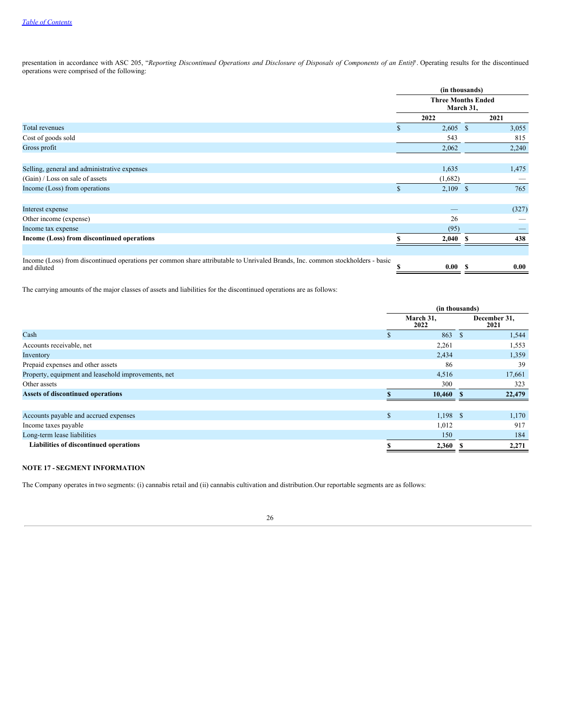presentation in accordance with ASC 205, "Reporting Discontinued Operations and Disclosure of Disposals of Components of an Entity. Operating results for the discontinued operations were comprised of the following:

|                                                                                                                                               |    | (in thousands)<br><b>Three Months Ended</b><br>March 31, |    |       |
|-----------------------------------------------------------------------------------------------------------------------------------------------|----|----------------------------------------------------------|----|-------|
|                                                                                                                                               |    |                                                          |    |       |
|                                                                                                                                               |    | 2022                                                     |    | 2021  |
| <b>Total revenues</b>                                                                                                                         | S. | $2,605$ \$                                               |    | 3,055 |
| Cost of goods sold                                                                                                                            |    | 543                                                      |    | 815   |
| Gross profit                                                                                                                                  |    | 2,062                                                    |    | 2,240 |
| Selling, general and administrative expenses                                                                                                  |    | 1,635                                                    |    | 1,475 |
| (Gain) / Loss on sale of assets                                                                                                               |    | (1,682)                                                  |    |       |
| Income (Loss) from operations                                                                                                                 |    | $2,109$ \$                                               |    | 765   |
|                                                                                                                                               |    |                                                          |    |       |
| Interest expense                                                                                                                              |    |                                                          |    | (327) |
| Other income (expense)                                                                                                                        |    | 26                                                       |    |       |
| Income tax expense                                                                                                                            |    | (95)                                                     |    |       |
| Income (Loss) from discontinued operations                                                                                                    |    | 2,040                                                    |    | 438   |
|                                                                                                                                               |    |                                                          |    |       |
| Income (Loss) from discontinued operations per common share attributable to Unrivaled Brands, Inc. common stockholders - basic<br>and diluted |    | 0.00                                                     | S. | 0.00  |

The carrying amounts of the major classes of assets and liabilities for the discontinued operations are as follows:

| (in thousands) |                   |    |                                    |
|----------------|-------------------|----|------------------------------------|
|                | March 31,<br>2022 |    | December 31,<br>2021               |
|                | 863               | -S | 1,544                              |
|                | 2,261             |    | 1,553                              |
|                | 2,434             |    | 1,359                              |
|                | 86                |    | 39                                 |
|                | 4,516             |    | 17,661                             |
|                | 300               |    | 323                                |
|                |                   |    | 22,479                             |
|                |                   |    |                                    |
| $\mathbf{s}$   |                   |    | 1,170                              |
|                | 1,012             |    | 917                                |
|                | 150               |    | 184                                |
|                |                   |    | 2,271                              |
|                |                   |    | $10,460$ \$<br>$1,198$ \$<br>2,360 |

# **NOTE 17 - SEGMENT INFORMATION**

The Company operates in two segments: (i) cannabis retail and (ii) cannabis cultivation and distribution.Our reportable segments are as follows:

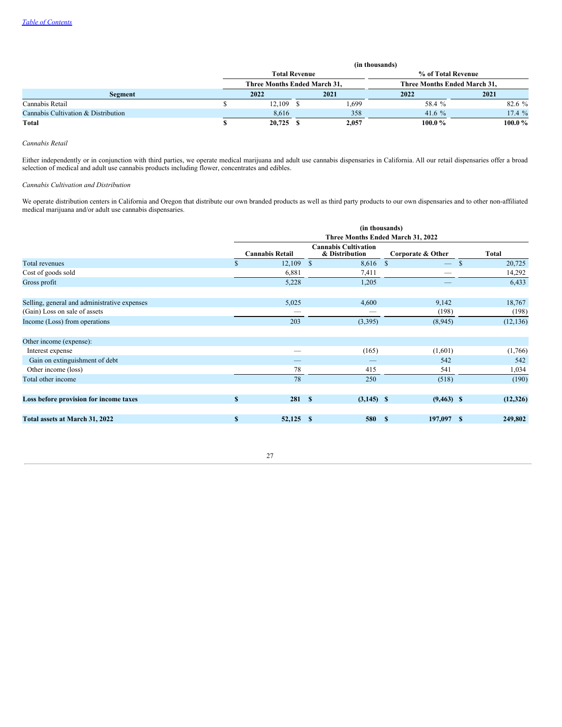|                                     | (in thousands)               |             |  |       |                              |        |  |  |
|-------------------------------------|------------------------------|-------------|--|-------|------------------------------|--------|--|--|
|                                     | <b>Total Revenue</b>         |             |  |       | % of Total Revenue           |        |  |  |
|                                     | Three Months Ended March 31, |             |  |       | Three Months Ended March 31, |        |  |  |
| Segment                             |                              | 2022        |  | 2021  | 2022                         | 2021   |  |  |
| Cannabis Retail                     |                              | $12,109$ \$ |  | 1,699 | 58.4 %                       | 82.6 % |  |  |
| Cannabis Cultivation & Distribution |                              | 8.616       |  | 358   | 41.6 $%$                     | 17.4%  |  |  |
| Total                               |                              | $20,725$ \$ |  | 2,057 | 100.0%                       | 100.0% |  |  |

*Cannabis Retail*

Either independently or in conjunction with third parties, we operate medical marijuana and adult use cannabis dispensaries in California. All our retail dispensaries offer a broad selection of medical and adult use cannabis products including flower, concentrates and edibles.

*Cannabis Cultivation and Distribution*

We operate distribution centers in California and Oregon that distribute our own branded products as well as third party products to our own dispensaries and to other non-affiliated medical marijuana and/or adult use cannabis dispensaries.

|                                              |          | (in thousands)                    |      |                                               |              |                          |              |           |
|----------------------------------------------|----------|-----------------------------------|------|-----------------------------------------------|--------------|--------------------------|--------------|-----------|
|                                              |          | Three Months Ended March 31, 2022 |      |                                               |              |                          |              |           |
|                                              |          | <b>Cannabis Retail</b>            |      | <b>Cannabis Cultivation</b><br>& Distribution |              | Corporate & Other        |              | Total     |
| Total revenues                               | <b>S</b> | 12,109                            | - \$ | 8,616 \$                                      |              | $\overline{\phantom{0}}$ | $\mathbb{S}$ | 20,725    |
| Cost of goods sold                           |          | 6,881                             |      | 7,411                                         |              |                          |              | 14,292    |
| Gross profit                                 |          | 5,228                             |      | 1,205                                         |              |                          |              | 6,433     |
| Selling, general and administrative expenses |          | 5,025                             |      | 4,600                                         |              | 9,142                    |              | 18,767    |
| (Gain) Loss on sale of assets                |          |                                   |      |                                               |              | (198)                    |              | (198)     |
| Income (Loss) from operations                |          | 203                               |      | (3,395)                                       |              | (8,945)                  |              | (12, 136) |
| Other income (expense):                      |          |                                   |      |                                               |              |                          |              |           |
| Interest expense                             |          |                                   |      | (165)                                         |              | (1,601)                  |              | (1,766)   |
| Gain on extinguishment of debt               |          |                                   |      |                                               |              | 542                      |              | 542       |
| Other income (loss)                          |          | 78                                |      | 415                                           |              | 541                      |              | 1,034     |
| Total other income                           |          | 78                                |      | 250                                           |              | (518)                    |              | (190)     |
| Loss before provision for income taxes       | S        | 281S                              |      | $(3,145)$ \$                                  |              | $(9,463)$ \$             |              | (12,326)  |
|                                              |          |                                   |      |                                               |              |                          |              |           |
| Total assets at March 31, 2022               | S        | 52,125 \$                         |      | 580                                           | $\mathbf{s}$ | 197,097 \$               |              | 249,802   |

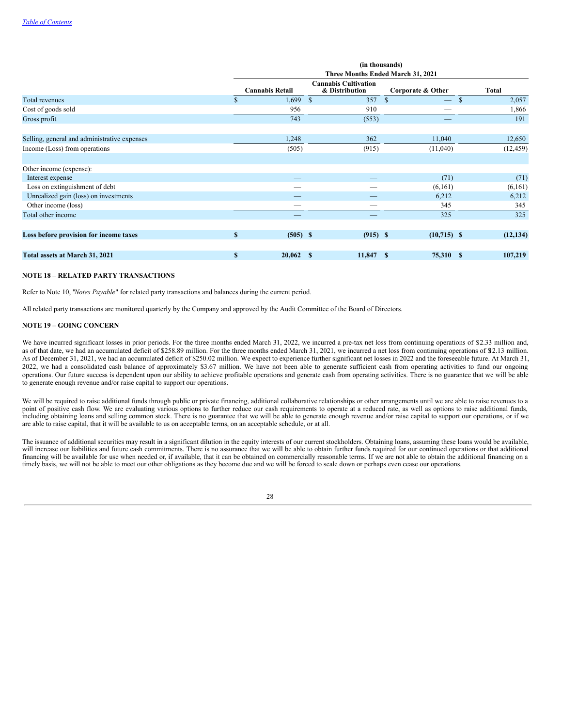|                                              |              | (in thousands)<br>Three Months Ended March 31, 2021 |                                               |            |                   |               |           |
|----------------------------------------------|--------------|-----------------------------------------------------|-----------------------------------------------|------------|-------------------|---------------|-----------|
|                                              |              | <b>Cannabis Retail</b>                              | <b>Cannabis Cultivation</b><br>& Distribution |            | Corporate & Other |               | Total     |
| Total revenues                               | \$           | 1,699                                               | $\mathcal{S}$                                 | 357        | $\mathbf{s}$<br>– | $\mathcal{S}$ | 2,057     |
| Cost of goods sold                           |              | 956                                                 |                                               | 910        |                   |               | 1,866     |
| Gross profit                                 |              | 743                                                 |                                               | (553)      |                   |               | 191       |
| Selling, general and administrative expenses |              | 1,248                                               |                                               | 362        | 11,040            |               | 12,650    |
| Income (Loss) from operations                |              | (505)                                               |                                               | (915)      | (11,040)          |               | (12, 459) |
| Other income (expense):                      |              |                                                     |                                               |            |                   |               |           |
| Interest expense                             |              |                                                     |                                               |            | (71)              |               | (71)      |
| Loss on extinguishment of debt               |              |                                                     |                                               |            | (6,161)           |               | (6,161)   |
| Unrealized gain (loss) on investments        |              |                                                     |                                               |            | 6,212             |               | 6,212     |
| Other income (loss)                          |              |                                                     |                                               |            | 345               |               | 345       |
| Total other income                           |              |                                                     |                                               |            | 325               |               | 325       |
| Loss before provision for income taxes       | $\mathbf{s}$ | $(505)$ \$                                          |                                               | $(915)$ \$ | $(10,715)$ \$     |               | (12, 134) |
| Total assets at March 31, 2021               | $\mathbf{s}$ | 20,062                                              | -S                                            | 11,847 \$  | 75,310 \$         |               | 107,219   |

#### **NOTE 18 – RELATED PARTY TRANSACTIONS**

Refer to Note 10, "*Notes Payable*" for related party transactions and balances during the current period.

All related party transactions are monitored quarterly by the Company and approved by the Audit Committee of the Board of Directors.

### **NOTE 19 – GOING CONCERN**

We have incurred significant losses in prior periods. For the three months ended March 31, 2022, we incurred a pre-tax net loss from continuing operations of \$2.33 million and, as of that date, we had an accumulated deficit of \$258.89 million. For the three months ended March 31, 2021, we incurred a net loss from continuing operations of \$12.13 million. As of December 31, 2021, we had an accumulated deficit of \$250.02 million. We expect to experience further significant net losses in 2022 and the foreseeable future. At March 31, 2022, we had a consolidated cash balance of approximately \$3.67 million. We have not been able to generate sufficient cash from operating activities to fund our ongoing operations. Our future success is dependent upon our ability to achieve profitable operations and generate cash from operating activities. There is no guarantee that we will be able to generate enough revenue and/or raise capital to support our operations.

We will be required to raise additional funds through public or private financing, additional collaborative relationships or other arrangements until we are able to raise revenues to a point of positive cash flow. We are evaluating various options to further reduce our cash requirements to operate at a reduced rate, as well as options to raise additional funds, including obtaining loans and selling common stock. There is no guarantee that we will be able to generate enough revenue and/or raise capital to support our operations, or if we are able to raise capital, that it will be available to us on acceptable terms, on an acceptable schedule, or at all.

The issuance of additional securities may result in a significant dilution in the equity interests of our current stockholders. Obtaining loans, assuming these loans would be available, will increase our liabilities and future cash commitments. There is no assurance that we will be able to obtain further funds required for our continued operations or that additional financing will be available for use when needed or, if available, that it can be obtained on commercially reasonable terms. If we are not able to obtain the additional financing on a timely basis, we will not be able to meet our other obligations as they become due and we will be forced to scale down or perhaps even cease our operations.

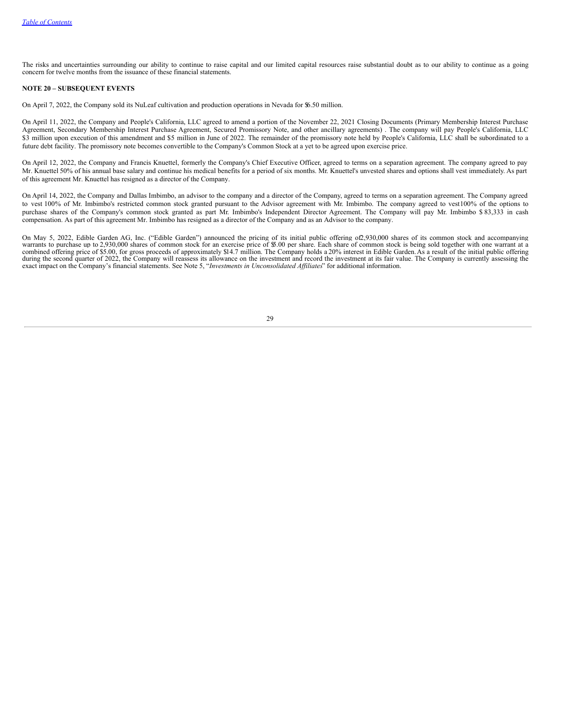The risks and uncertainties surrounding our ability to continue to raise capital and our limited capital resources raise substantial doubt as to our ability to continue as a going concern for twelve months from the issuance of these financial statements.

#### **NOTE 20 – SUBSEQUENT EVENTS**

On April 7, 2022, the Company sold its NuLeaf cultivation and production operations in Nevada for \$6.50 million.

On April 11, 2022, the Company and People's California, LLC agreed to amend a portion of the November 22, 2021 Closing Documents (Primary Membership Interest Purchase Agreement, Secondary Membership Interest Purchase Agreement, Secured Promissory Note, and other ancillary agreements) . The company will pay People's California, LLC \$3 million upon execution of this amendment and \$5 million in June of 2022. The remainder of the promissory note held by People's California, LLC shall be subordinated to a future debt facility. The promissory note becomes convertible to the Company's Common Stock at a yet to be agreed upon exercise price.

On April 12, 2022, the Company and Francis Knuettel, formerly the Company's Chief Executive Officer, agreed to terms on a separation agreement. The company agreed to pay Mr. Knuettel 50% of his annual base salary and continue his medical benefits for a period of six months. Mr. Knuettel's unvested shares and options shall vest immediately. As part of this agreement Mr. Knuettel has resigned as a director of the Company.

On April 14, 2022, the Company and Dallas Imbimbo, an advisor to the company and a director of the Company, agreed to terms on a separation agreement. The Company agreed to vest 100% of Mr. Imbimbo's restricted common stock granted pursuant to the Advisor agreement with Mr. Imbimbo. The company agreed to vest100% of the options to purchase shares of the Company's common stock granted as part Mr. Imbimbo's Independent Director Agreement. The Company will pay Mr. Imbimbo \$ 83,333 in cash compensation. As part of this agreement Mr. Imbimbo has resigned as a director of the Company and as an Advisor to the company.

<span id="page-28-0"></span>On May 5, 2022, Edible Garden AG, Inc. ("Edible Garden") announced the pricing of its initial public offering of2,930,000 shares of its common stock and accompanying warrants to purchase up to 2,930,000 shares of common stock for an exercise price of \$5.00 per share. Each share of common stock is being sold together with one warrant at a combined offering price of \$5.00, for gross proceeds of approximately \$14.7 million. The Company holds a 20% interest in Edible Garden. As a result of the initial public offering during the second quarter of 2022, the Company will reassess its allowance on the investment and record the investment at its fair value. The Company is currently assessing the exact impact on the Company's financial statements. See Note 5, "*Investments in Unconsolidated Af iliates*" for additional information.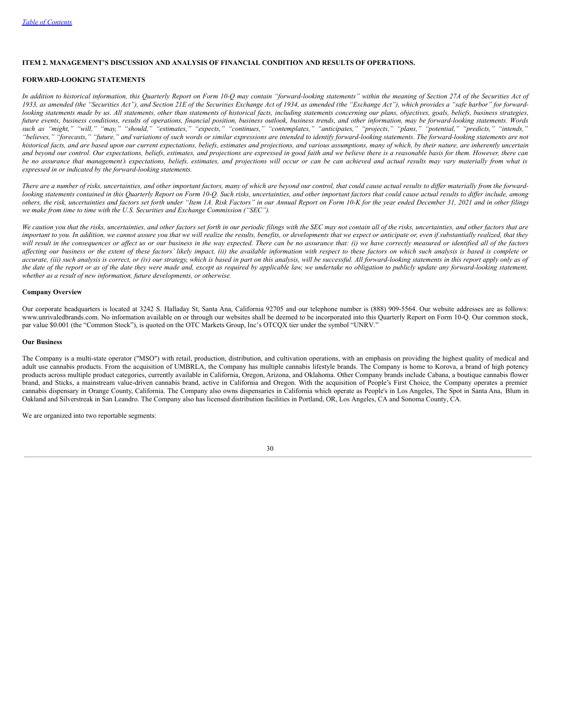### **ITEM 2. MANAGEMENT'S DISCUSSION AND ANALYSIS OF FINANCIAL CONDITION AND RESULTS OF OPERATIONS.**

### **FORWARD-LOOKING STATEMENTS**

In addition to historical information, this Quarterly Report on Form 10-Q may contain "forward-looking statements" within the meaning of Section 27A of the Securities Act of 1933, as amended (the "Securities Act"), and Section 21E of the Securities Exchange Act of 1934, as amended (the "Exchange Act"), which provides a "safe harbor" for forwardlooking statements made by us. All statements, other than statements of historical facts, including statements concerning our plans, objectives, goals, beliefs, business strategies, future events, business conditions, results of operations, financial position, business outlook, business trends, and other information, may be forward-looking statements. Words such as "might," "will," "may," "should," "estimates," "expects," "continues," "contemplates," "anticipates," "projects," "plans," "potential," "predicts," "intends," "believes," "forecasts," "future," and variations of such words or similar expressions are intended to identify forward-looking statements. The forward-looking statements are not historical facts, and are based upon our current expectations, beliefs, estimates and projections, and various assumptions, many of which, by their nature, are inherently uncertain and beyond our control. Our expectations, beliefs, estimates, and projections are expressed in good faith and we believe there is a reasonable basis for them. However, there can be no assurance that management's expectations, beliefs, estimates, and projections will occur or can be can achieved and actual results may vary materially from what is *expressed in or indicated by the forward-looking statements.*

There are a number of risks, uncertainties, and other important factors, many of which are beyond our control, that could cause actual results to differ materially from the forwardlooking statements contained in this Ouarterly Report on Form 10-O. Such risks, uncertainties, and other important factors that could cause actual results to differ include, among others, the risk, uncertainties and factors set forth under "Item 1A. Risk Factors" in our Annual Report on Form 10-K for the year ended December 31, 2021 and in other filings *we make from time to time with the U.S. Securities and Exchange Commission ("SEC").*

We caution you that the risks, uncertainties, and other factors set forth in our periodic filings with the SEC may not contain all of the risks, uncertainties, and other factors that are important to you. In addition, we cannot assure you that we will realize the results, benefits, or developments that we expect or anticipate or, even if substantially realized, that they will result in the consequences or affect us or our business in the way expected. There can be no assurance that: (i) we have correctly measured or identified all of the factors affecting our business or the extent of these factors' likely impact, (ii) the available information with respect to these factors on which such analysis is based is complete or accurate, (iii) such analysis is correct, or (iv) our strategy, which is based in part on this analysis, will be successful. All forward-looking statements in this report apply only as of the date of the report or as of the date they were made and, except as required by applicable law, we undertake no obligation to publicly update any forward-looking statement, *whether as a result of new information, future developments, or otherwise.*

#### <span id="page-29-0"></span>**Company Overview**

Our corporate headquarters is located at 3242 S. Halladay St, Santa Ana, California 92705 and our telephone number is (888) 909-5564. Our website addresses are as follows: www.unrivaledbrands.com. No information available on or through our websites shall be deemed to be incorporated into this Quarterly Report on Form 10-Q. Our common stock, par value \$0.001 (the "Common Stock"), is quoted on the OTC Markets Group, Inc's OTCQX tier under the symbol "UNRV."

### **Our Business**

The Company is a multi-state operator ("MSO") with retail, production, distribution, and cultivation operations, with an emphasis on providing the highest quality of medical and adult use cannabis products. From the acquisition of UMBRLA, the Company has multiple cannabis lifestyle brands. The Company is home to Korova, a brand of high potency products across multiple product categories, currently available in California, Oregon, Arizona, and Oklahoma. Other Company brands include Cabana, a boutique cannabis flower brand, and Sticks, a mainstream value-driven cannabis brand, active in California and Oregon. With the acquisition of People's First Choice, the Company operates a premier cannabis dispensary in Orange County, California. The Company also owns dispensaries in California which operate as People's in Los Angeles, The Spot in Santa Ana, Blum in Oakland and Silverstreak in San Leandro. The Company also has licensed distribution facilities in Portland, OR, Los Angeles, CA and Sonoma County, CA.

We are organized into two reportable segments: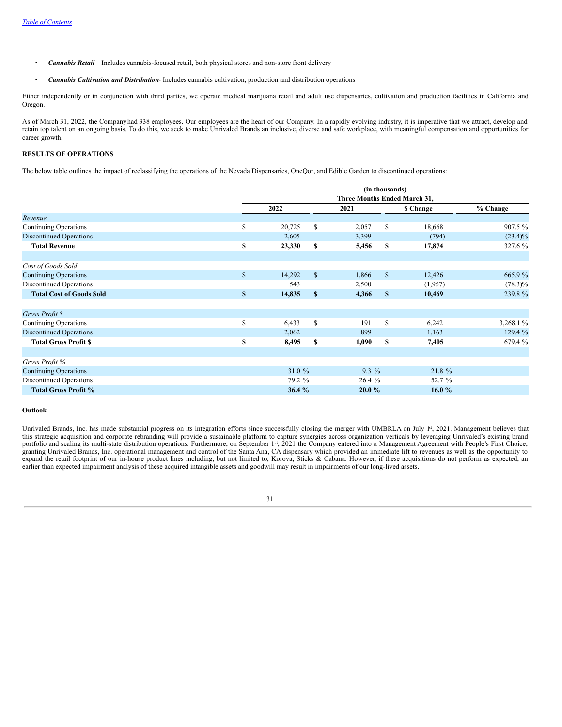- *Cannabis Retail* Includes cannabis-focused retail, both physical stores and non-store front delivery
- *Cannabis Cultivation and Distribution* Includes cannabis cultivation, production and distribution operations

Either independently or in conjunction with third parties, we operate medical marijuana retail and adult use dispensaries, cultivation and production facilities in California and Oregon.

As of March 31, 2022, the Companyhad 338 employees. Our employees are the heart of our Company. In a rapidly evolving industry, it is imperative that we attract, develop and retain top talent on an ongoing basis. To do this, we seek to make Unrivaled Brands an inclusive, diverse and safe workplace, with meaningful compensation and opportunities for career growth.

### <span id="page-30-0"></span>**RESULTS OF OPERATIONS**

The below table outlines the impact of reclassifying the operations of the Nevada Dispensaries, OneQor, and Edible Garden to discontinued operations:

|                                 |    | (in thousands)<br>Three Months Ended March 31, |              |         |              |           |            |
|---------------------------------|----|------------------------------------------------|--------------|---------|--------------|-----------|------------|
|                                 |    |                                                |              |         |              |           |            |
|                                 |    | 2022                                           |              | 2021    |              | \$ Change | % Change   |
| Revenue                         |    |                                                |              |         |              |           |            |
| Continuing Operations           | \$ | 20,725                                         | \$           | 2,057   | \$           | 18,668    | 907.5 %    |
| <b>Discontinued Operations</b>  |    | 2,605                                          |              | 3,399   |              | (794)     | $(23.4)\%$ |
| <b>Total Revenue</b>            | S  | 23,330                                         | \$           | 5,456   | \$           | 17,874    | 327.6 %    |
| Cost of Goods Sold              |    |                                                |              |         |              |           |            |
| <b>Continuing Operations</b>    | \$ | 14,292                                         | $\mathbb{S}$ | 1,866   | $\mathbb{S}$ | 12,426    | 665.9%     |
| <b>Discontinued Operations</b>  |    | 543                                            |              | 2,500   |              | (1,957)   | $(78.3)\%$ |
| <b>Total Cost of Goods Sold</b> | \$ | 14,835                                         | $\mathbf{s}$ | 4,366   | $\mathbf{s}$ | 10,469    | 239.8%     |
| Gross Profit \$                 |    |                                                |              |         |              |           |            |
| Continuing Operations           | \$ | 6,433                                          | S            | 191     | S            | 6,242     | 3,268.1%   |
| <b>Discontinued Operations</b>  |    | 2,062                                          |              | 899     |              | 1,163     | 129.4 %    |
| <b>Total Gross Profit \$</b>    | \$ | 8,495                                          | \$           | 1,090   | \$           | 7,405     | 679.4 %    |
| Gross Profit %                  |    |                                                |              |         |              |           |            |
| <b>Continuing Operations</b>    |    | 31.0 %                                         |              | $9.3\%$ |              | 21.8 %    |            |
| <b>Discontinued Operations</b>  |    | 79.2 %                                         |              | 26.4 %  |              | 52.7 %    |            |
| <b>Total Gross Profit %</b>     |    | 36.4 %                                         |              | 20.0%   |              | 16.0%     |            |

#### **Outlook**

Unrivaled Brands, Inc. has made substantial progress on its integration efforts since successfully closing the merger with UMBRLA on July <sup>pt</sup>, 2021. Management believes that this strategic acquisition and corporate rebranding will provide a sustainable platform to capture synergies across organization verticals by leveraging Unrivaled's existing brand portfolio and scaling its multi-state distribution operations. Furthermore, on September 1<sup>st</sup>, 2021 the Company entered into a Management Agreement with People's First Choice; granting Unrivaled Brands, Inc. operational management and control of the Santa Ana, CA dispensary which provided an immediate lift to revenues as well as the opportunity to expand the retail footprint of our in-house product lines including, but not limited to, Korova, Sticks & Cabana. However, if these acquisitions do not perform as expected, an earlier than expected impairment analysis of these acquired intangible assets and goodwill may result in impairments of our long-lived assets.

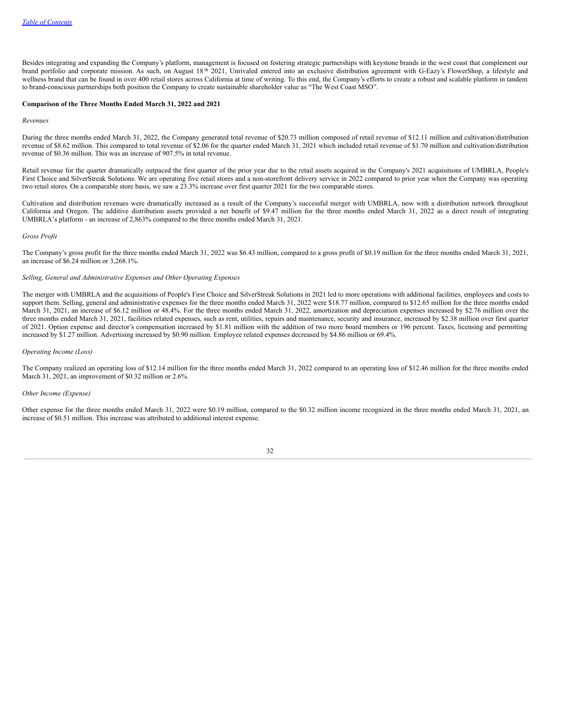Besides integrating and expanding the Company's platform, management is focused on fostering strategic partnerships with keystone brands in the west coast that complement our brand portfolio and corporate mission. As such, on August 18<sup>th</sup> 2021, Unrivaled entered into an exclusive distribution agreement with G-Eazy's FlowerShop, a lifestyle and wellness brand that can be found in over 400 retail stores across California at time of writing. To this end, the Company's efforts to create a robust and scalable platform in tandem to brand-conscious partnerships both position the Company to create sustainable shareholder value as "The West Coast MSO".

### **Comparison of the Three Months Ended March 31, 2022 and 2021**

*Revenues*

During the three months ended March 31, 2022, the Company generated total revenue of \$20.73 million composed of retail revenue of \$12.11 million and cultivation/distribution revenue of \$8.62 million. This compared to total revenue of \$2.06 for the quarter ended March 31, 2021 which included retail revenue of \$1.70 million and cultivation/distribution revenue of \$0.36 million. This was an increase of 907.5% in total revenue.

Retail revenue for the quarter dramatically outpaced the first quarter of the prior year due to the retail assets acquired in the Company's 2021 acquisitions of UMBRLA, People's First Choice and SilverStreak Solutions. We are operating five retail stores and a non-storefront delivery service in 2022 compared to prior year when the Company was operating two retail stores. On a comparable store basis, we saw a 23.3% increase over first quarter 2021 for the two comparable stores.

Cultivation and distribution revenues were dramatically increased as a result of the Company's successful merger with UMBRLA, now with a distribution network throughout California and Oregon. The additive distribution assets provided a net benefit of \$9.47 million for the three months ended March 31, 2022 as a direct result of integrating UMBRLA's platform - an increase of 2,863% compared to the three months ended March 31, 2021.

### *Gross Profit*

The Company's gross profit for the three months ended March 31, 2022 was \$6.43 million, compared to a gross profit of \$0.19 million for the three months ended March 31, 2021, an increase of \$6.24 million or 3,268.1%.

#### *Selling, General and Administrative Expenses and Other Operating Expenses*

The merger with UMBRLA and the acquisitions of People's First Choice and SilverStreak Solutions in 2021 led to more operations with additional facilities, employees and costs to support them. Selling, general and administrative expenses for the three months ended March 31, 2022 were \$18.77 million, compared to \$12.65 million for the three months ended March 31, 2021, an increase of \$6.12 million or 48.4%. For the three months ended March 31, 2022, amortization and depreciation expenses increased by \$2.76 million over the three months ended March 31, 2021, facilities related expenses, such as rent, utilities, repairs and maintenance, security and insurance, increased by \$2.38 million over first quarter of 2021. Option expense and director's compensation increased by \$1.81 million with the addition of two more board members or 196 percent. Taxes, licensing and permitting increased by \$1.27 million. Advertising increased by \$0.90 million. Employee related expenses decreased by \$4.86 million or 69.4%.

#### *Operating Income (Loss)*

The Company realized an operating loss of \$12.14 million for the three months ended March 31, 2022 compared to an operating loss of \$12.46 million for the three months ended March 31, 2021, an improvement of \$0.32 million or 2.6%.

#### *Other Income (Expense)*

Other expense for the three months ended March 31, 2022 were \$0.19 million, compared to the \$0.32 million income recognized in the three months ended March 31, 2021, an increase of \$0.51 million. This increase was attributed to additional interest expense.

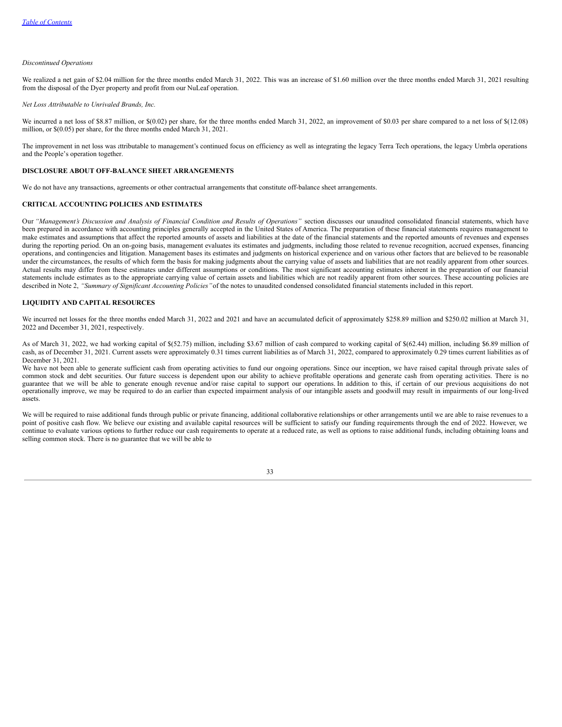#### *Discontinued Operations*

We realized a net gain of \$2.04 million for the three months ended March 31, 2022. This was an increase of \$1.60 million over the three months ended March 31, 2021 resulting from the disposal of the Dyer property and profit from our NuLeaf operation.

*Net Loss Attributable to Unrivaled Brands, Inc.*

We incurred a net loss of \$8.87 million, or \$(0.02) per share, for the three months ended March 31, 2022, an improvement of \$0.03 per share compared to a net loss of \$(12.08) million, or \$(0.05) per share, for the three months ended March 31, 2021.

The improvement in net loss was attributable to management's continued focus on efficiency as well as integrating the legacy Terra Tech operations, the legacy Umbrla operations and the People's operation together.

#### <span id="page-32-0"></span>**DISCLOSURE ABOUT OFF-BALANCE SHEET ARRANGEMENTS**

<span id="page-32-1"></span>We do not have any transactions, agreements or other contractual arrangements that constitute off-balance sheet arrangements.

### **CRITICAL ACCOUNTING POLICIES AND ESTIMATES**

Our "Management's Discussion and Analysis of Financial Condition and Results of Operations" section discusses our unaudited consolidated financial statements, which have been prepared in accordance with accounting principles generally accepted in the United States of America. The preparation of these financial statements requires management to make estimates and assumptions that affect the reported amounts of assets and liabilities at the date of the financial statements and the reported amounts of revenues and expenses during the reporting period. On an on-going basis, management evaluates its estimates and judgments, including those related to revenue recognition, accrued expenses, financing operations, and contingencies and litigation. Management bases its estimates and judgments on historical experience and on various other factors that are believed to be reasonable under the circumstances, the results of which form the basis for making judgments about the carrying value of assets and liabilities that are not readily apparent from other sources. Actual results may differ from these estimates under different assumptions or conditions. The most significant accounting estimates inherent in the preparation of our financial statements include estimates as to the appropriate carrying value of certain assets and liabilities which are not readily apparent from other sources. These accounting policies are described in Note 2, *"Summary of Significant Accounting Policies"*of the notes to unaudited condensed consolidated financial statements included in this report.

#### <span id="page-32-2"></span>**LIQUIDITY AND CAPITAL RESOURCES**

We incurred net losses for the three months ended March 31, 2022 and 2021 and have an accumulated deficit of approximately \$258.89 million and \$250.02 million at March 31, 2022 and December 31, 2021, respectively.

As of March 31, 2022, we had working capital of \$(52.75) million, including \$3.67 million of cash compared to working capital of \$(62.44) million, including \$6.89 million of cash, as of December 31, 2021. Current assets were approximately 0.31 times current liabilities as of March 31, 2022, compared to approximately 0.29 times current liabilities as of December 31, 2021.

We have not been able to generate sufficient cash from operating activities to fund our ongoing operations. Since our inception, we have raised capital through private sales of common stock and debt securities. Our future success is dependent upon our ability to achieve profitable operations and generate cash from operating activities. There is no guarantee that we will be able to generate enough revenue and/or raise capital to support our operations. In addition to this, if certain of our previous acquisitions do not operationally improve, we may be required to do an earlier than expected impairment analysis of our intangible assets and goodwill may result in impairments of our long-lived assets.

We will be required to raise additional funds through public or private financing, additional collaborative relationships or other arrangements until we are able to raise revenues to a point of positive cash flow. We believe our existing and available capital resources will be sufficient to satisfy our funding requirements through the end of 2022. However, we continue to evaluate various options to further reduce our cash requirements to operate at a reduced rate, as well as options to raise additional funds, including obtaining loans and selling common stock. There is no guarantee that we will be able to

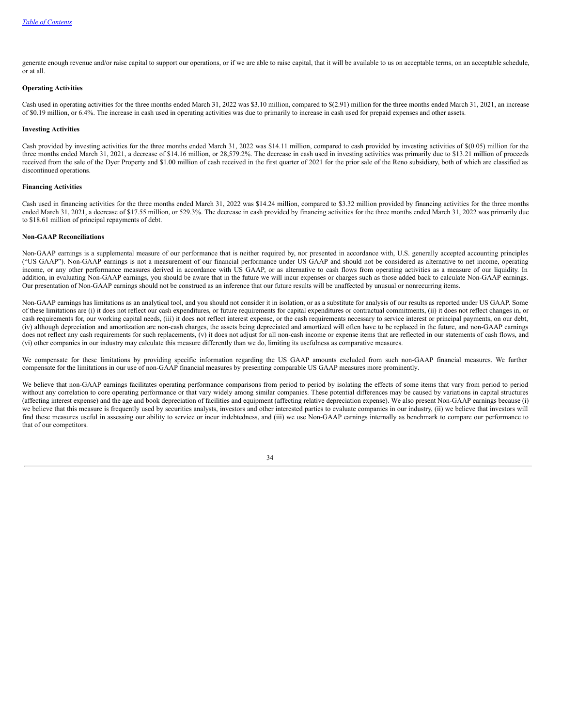generate enough revenue and/or raise capital to support our operations, or if we are able to raise capital, that it will be available to us on acceptable terms, on an acceptable schedule, or at all.

### **Operating Activities**

Cash used in operating activities for the three months ended March 31, 2022 was \$3.10 million, compared to \$(2.91) million for the three months ended March 31, 2021, an increase of \$0.19 million, or 6.4%. The increase in cash used in operating activities was due to primarily to increase in cash used for prepaid expenses and other assets.

#### **Investing Activities**

Cash provided by investing activities for the three months ended March 31, 2022 was \$14.11 million, compared to cash provided by investing activities of \$(0.05) million for the three months ended March 31, 2021, a decrease of \$14.16 million, or 28,579.2%. The decrease in cash used in investing activities was primarily due to \$13.21 million of proceeds received from the sale of the Dyer Property and \$1.00 million of cash received in the first quarter of 2021 for the prior sale of the Reno subsidiary, both of which are classified as discontinued operations.

### **Financing Activities**

Cash used in financing activities for the three months ended March 31, 2022 was \$14.24 million, compared to \$3.32 million provided by financing activities for the three months ended March 31, 2021, a decrease of \$17.55 million, or 529.3%. The decrease in cash provided by financing activities for the three months ended March 31, 2022 was primarily due to \$18.61 million of principal repayments of debt.

#### **Non-GAAP Reconciliations**

Non-GAAP earnings is a supplemental measure of our performance that is neither required by, nor presented in accordance with, U.S. generally accepted accounting principles ("US GAAP"). Non-GAAP earnings is not a measurement of our financial performance under US GAAP and should not be considered as alternative to net income, operating income, or any other performance measures derived in accordance with US GAAP, or as alternative to cash flows from operating activities as a measure of our liquidity. In addition, in evaluating Non-GAAP earnings, you should be aware that in the future we will incur expenses or charges such as those added back to calculate Non-GAAP earnings. Our presentation of Non-GAAP earnings should not be construed as an inference that our future results will be unaffected by unusual or nonrecurring items.

Non-GAAP earnings has limitations as an analytical tool, and you should not consider it in isolation, or as a substitute for analysis of our results as reported under US GAAP. Some of these limitations are (i) it does not reflect our cash expenditures, or future requirements for capital expenditures or contractual commitments, (ii) it does not reflect changes in, or cash requirements for, our working capital needs, (iii) it does not reflect interest expense, or the cash requirements necessary to service interest or principal payments, on our debt, (iv) although depreciation and amortization are non-cash charges, the assets being depreciated and amortized will often have to be replaced in the future, and non-GAAP earnings does not reflect any cash requirements for such replacements, (v) it does not adjust for all non-cash income or expense items that are reflected in our statements of cash flows, and (vi) other companies in our industry may calculate this measure differently than we do, limiting its usefulness as comparative measures.

We compensate for these limitations by providing specific information regarding the US GAAP amounts excluded from such non-GAAP financial measures. We further compensate for the limitations in our use of non-GAAP financial measures by presenting comparable US GAAP measures more prominently.

We believe that non-GAAP earnings facilitates operating performance comparisons from period to period by isolating the effects of some items that vary from period to period without any correlation to core operating performance or that vary widely among similar companies. These potential differences may be caused by variations in capital structures (affecting interest expense) and the age and book depreciation of facilities and equipment (affecting relative depreciation expense). We also present Non-GAAP earnings because (i) we believe that this measure is frequently used by securities analysts, investors and other interested parties to evaluate companies in our industry, (ii) we believe that investors will find these measures useful in assessing our ability to service or incur indebtedness, and (iii) we use Non-GAAP earnings internally as benchmark to compare our performance to that of our competitors.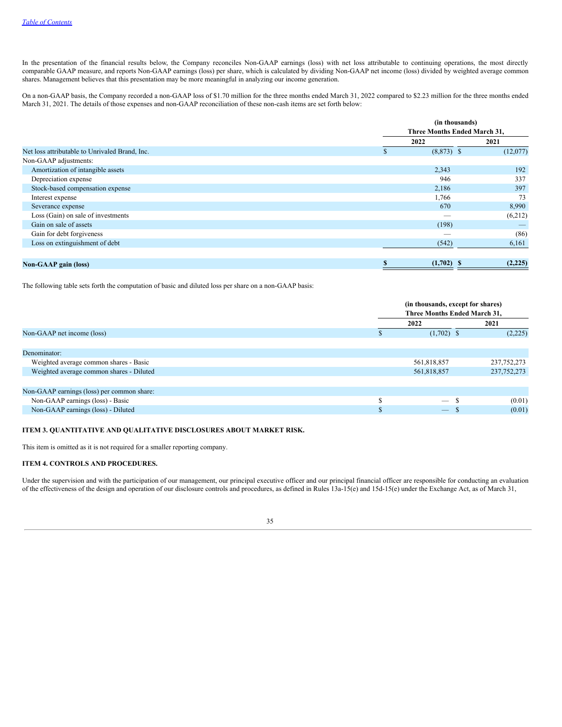In the presentation of the financial results below, the Company reconciles Non-GAAP earnings (loss) with net loss attributable to continuing operations, the most directly comparable GAAP measure, and reports Non-GAAP earnings (loss) per share, which is calculated by dividing Non-GAAP net income (loss) divided by weighted average common shares. Management believes that this presentation may be more meaningful in analyzing our income generation.

On a non-GAAP basis, the Company recorded a non-GAAP loss of \$1.70 million for the three months ended March 31, 2022 compared to \$2.23 million for the three months ended March 31, 2021. The details of those expenses and non-GAAP reconciliation of these non-cash items are set forth below:

|                                                |                    | (in thousands)<br><b>Three Months Ended March 31,</b> |  |  |
|------------------------------------------------|--------------------|-------------------------------------------------------|--|--|
|                                                | 2022               | 2021                                                  |  |  |
| Net loss attributable to Unrivaled Brand, Inc. | ъ                  | $(8,873)$ \$<br>(12,077)                              |  |  |
| Non-GAAP adjustments:                          |                    |                                                       |  |  |
| Amortization of intangible assets              | 2,343              | 192                                                   |  |  |
| Depreciation expense                           | 946                | 337                                                   |  |  |
| Stock-based compensation expense               | 2,186              | 397                                                   |  |  |
| Interest expense                               | 1,766              | 73                                                    |  |  |
| Severance expense                              | 670                | 8,990                                                 |  |  |
| Loss (Gain) on sale of investments             |                    | (6,212)                                               |  |  |
| Gain on sale of assets                         | (198)              |                                                       |  |  |
| Gain for debt forgiveness                      |                    | (86)<br>$\overline{\phantom{a}}$                      |  |  |
| Loss on extinguishment of debt                 | (542)              | 6,161                                                 |  |  |
|                                                |                    |                                                       |  |  |
| <b>Non-GAAP</b> gain (loss)                    | \$<br>$(1,702)$ \$ | (2,225)                                               |  |  |

The following table sets forth the computation of basic and diluted loss per share on a non-GAAP basis:

|                                            | (in thousands, except for shares) |               |  |
|--------------------------------------------|-----------------------------------|---------------|--|
|                                            | Three Months Ended March 31,      |               |  |
|                                            | 2022                              | 2021          |  |
| Non-GAAP net income (loss)                 | $(1,702)$ \$                      | (2,225)       |  |
|                                            |                                   |               |  |
| Denominator:                               |                                   |               |  |
| Weighted average common shares - Basic     | 561,818,857                       | 237, 752, 273 |  |
| Weighted average common shares - Diluted   | 561,818,857                       | 237, 752, 273 |  |
|                                            |                                   |               |  |
| Non-GAAP earnings (loss) per common share: |                                   |               |  |
| Non-GAAP earnings (loss) - Basic           |                                   | (0.01)        |  |
| Non-GAAP earnings (loss) - Diluted         | $\overline{\phantom{0}}$<br>- 55  | (0.01)        |  |
|                                            |                                   |               |  |

### <span id="page-34-0"></span>**ITEM 3. QUANTITATIVE AND QUALITATIVE DISCLOSURES ABOUT MARKET RISK.**

<span id="page-34-1"></span>This item is omitted as it is not required for a smaller reporting company.

### **ITEM 4. CONTROLS AND PROCEDURES.**

Under the supervision and with the participation of our management, our principal executive officer and our principal financial officer are responsible for conducting an evaluation of the effectiveness of the design and operation of our disclosure controls and procedures, as defined in Rules 13a-15(e) and 15d-15(e) under the Exchange Act, as of March 31,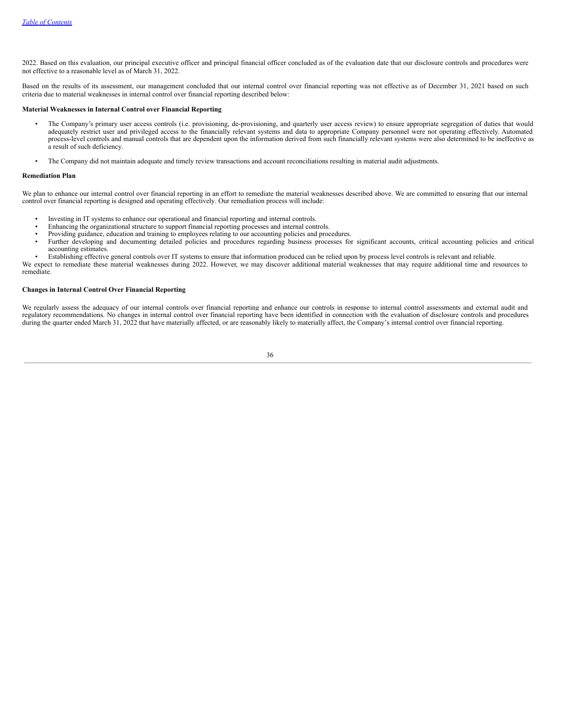2022. Based on this evaluation, our principal executive officer and principal financial officer concluded as of the evaluation date that our disclosure controls and procedures were not effective to a reasonable level as of March 31, 2022.

Based on the results of its assessment, our management concluded that our internal control over financial reporting was not effective as of December 31, 2021 based on such criteria due to material weaknesses in internal control over financial reporting described below:

#### **Material Weaknesses in Internal Control over Financial Reporting**

- The Company's primary user access controls (i.e. provisioning, de-provisioning, and quarterly user access review) to ensure appropriate segregation of duties that would adequately restrict user and privileged access to the financially relevant systems and data to appropriate Company personnel were not operating effectively. Automated process-level controls and manual controls that are dependent upon the information derived from such financially relevant systems were also determined to be ineffective as a result of such deficiency.
- The Company did not maintain adequate and timely review transactions and account reconciliations resulting in material audit adjustments.

#### **Remediation Plan**

We plan to enhance our internal control over financial reporting in an effort to remediate the material weaknesses described above. We are committed to ensuring that our internal control over financial reporting is designed and operating effectively. Our remediation process will include:

- Investing in IT systems to enhance our operational and financial reporting and internal controls.
- Enhancing the organizational structure to support financial reporting processes and internal controls.
- Providing guidance, education and training to employees relating to our accounting policies and procedures.
- Further developing and documenting detailed policies and procedures regarding business processes for significant accounts, critical accounting policies and critical accounting estimates.
- Establishing effective general controls over IT systems to ensure that information produced can be relied upon by process level controls is relevant and reliable. We expect to remediate these material weaknesses during 2022. However, we may discover additional material weaknesses that may require additional time and resources to remediate.

#### **Changes in Internal Control Over Financial Reporting**

<span id="page-35-0"></span>We regularly assess the adequacy of our internal controls over financial reporting and enhance our controls in response to internal control assessments and external audit and regulatory recommendations. No changes in internal control over financial reporting have been identified in connection with the evaluation of disclosure controls and procedures during the quarter ended March 31, 2022 that have materially affected, or are reasonably likely to materially affect, the Company's internal control over financial reporting.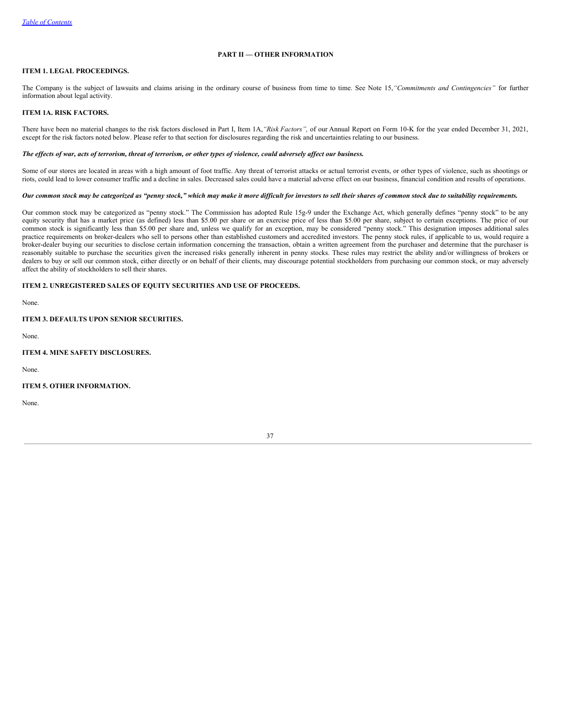# **PART II — OTHER INFORMATION**

# <span id="page-36-0"></span>**ITEM 1. LEGAL PROCEEDINGS.**

The Company is the subject of lawsuits and claims arising in the ordinary course of business from time to time. See Note 15,*"Commitments and Contingencies"* for further information about legal activity.

### <span id="page-36-1"></span>**ITEM 1A. RISK FACTORS.**

There have been no material changes to the risk factors disclosed in Part I, Item 1A,*"Risk Factors",* of our Annual Report on Form 10-K for the year ended December 31, 2021, except for the risk factors noted below. Please refer to that section for disclosures regarding the risk and uncertainties relating to our business.

#### The effects of war, acts of terrorism, threat of terrorism, or other types of violence, could adversely affect our business.

Some of our stores are located in areas with a high amount of foot traffic. Any threat of terrorist attacks or actual terrorist events, or other types of violence, such as shootings or riots, could lead to lower consumer traffic and a decline in sales. Decreased sales could have a material adverse effect on our business, financial condition and results of operations.

### Our common stock may be categorized as "penny stock," which may make it more difficult for investors to sell their shares of common stock due to suitability requirements.

Our common stock may be categorized as "penny stock." The Commission has adopted Rule 15g-9 under the Exchange Act, which generally defines "penny stock" to be any equity security that has a market price (as defined) less than \$5.00 per share or an exercise price of less than \$5.00 per share, subject to certain exceptions. The price of our common stock is significantly less than \$5.00 per share and, unless we qualify for an exception, may be considered "penny stock." This designation imposes additional sales practice requirements on broker-dealers who sell to persons other than established customers and accredited investors. The penny stock rules, if applicable to us, would require a broker-dealer buying our securities to disclose certain information concerning the transaction, obtain a written agreement from the purchaser and determine that the purchaser is reasonably suitable to purchase the securities given the increased risks generally inherent in penny stocks. These rules may restrict the ability and/or willingness of brokers or dealers to buy or sell our common stock, either directly or on behalf of their clients, may discourage potential stockholders from purchasing our common stock, or may adversely affect the ability of stockholders to sell their shares.

### <span id="page-36-2"></span>**ITEM 2. UNREGISTERED SALES OF EQUITY SECURITIES AND USE OF PROCEEDS.**

<span id="page-36-3"></span>None.

### **ITEM 3. DEFAULTS UPON SENIOR SECURITIES.**

<span id="page-36-4"></span>None.

## **ITEM 4. MINE SAFETY DISCLOSURES.**

<span id="page-36-5"></span>None.

### **ITEM 5. OTHER INFORMATION.**

<span id="page-36-6"></span>None.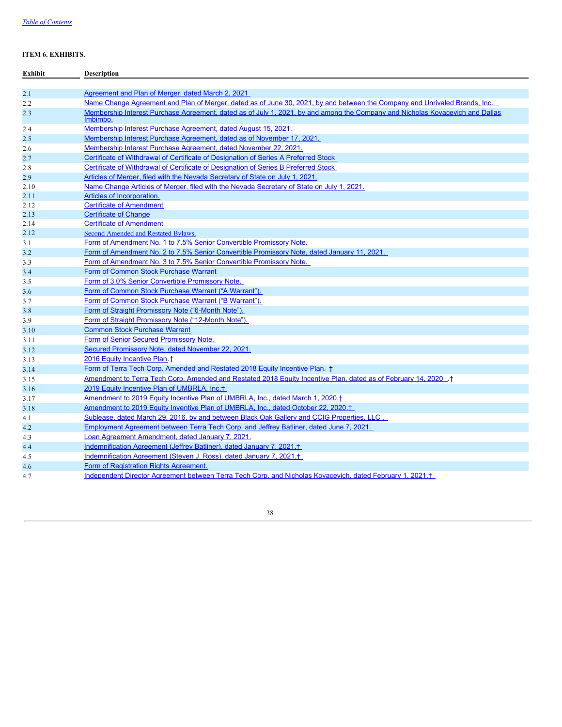# **ITEM 6. EXHIBITS.**

| Exhibit | <b>Description</b>                                                                                                                        |
|---------|-------------------------------------------------------------------------------------------------------------------------------------------|
|         |                                                                                                                                           |
| 2.1     | Agreement and Plan of Merger, dated March 2, 2021                                                                                         |
| 2.2     | Name Change Agreement and Plan of Merger, dated as of June 30, 2021, by and between the Company and Unrivaled Brands, Inc.                |
| 2.3     | Membership Interest Purchase Agreement, dated as of July 1, 2021, by and among the Company and Nicholas Koyaceyich and Dallas<br>Imbimbo. |
| 2.4     | Membership Interest Purchase Agreement, dated August 15, 2021.                                                                            |
| 2.5     | Membership Interest Purchase Agreement, dated as of November 17, 2021.                                                                    |
| 2.6     | Membership Interest Purchase Agreement, dated November 22, 2021.                                                                          |
| 2.7     | Certificate of Withdrawal of Certificate of Designation of Series A Preferred Stock                                                       |
| 2.8     | Certificate of Withdrawal of Certificate of Designation of Series B Preferred Stock                                                       |
| 2.9     | Articles of Merger, filed with the Nevada Secretary of State on July 1, 2021.                                                             |
| 2.10    | Name Change Articles of Merger, filed with the Nevada Secretary of State on July 1, 2021.                                                 |
| 2.11    | Articles of Incorporation.                                                                                                                |
| 2.12    | <b>Certificate of Amendment</b>                                                                                                           |
| 2.13    | <b>Certificate of Change</b>                                                                                                              |
| 2.14    | <b>Certificate of Amendment</b>                                                                                                           |
| 2.12    | Second Amended and Restated Bylaws.                                                                                                       |
| 3.1     | Form of Amendment No. 1 to 7.5% Senior Convertible Promissory Note.                                                                       |
| 3.2     | Form of Amendment No. 2 to 7.5% Senior Convertible Promissory Note, dated January 11, 2021.                                               |
| 3.3     | Form of Amendment No. 3 to 7.5% Senior Convertible Promissory Note.                                                                       |
| 3.4     | Form of Common Stock Purchase Warrant                                                                                                     |
| 3.5     | Form of 3.0% Senior Convertible Promissory Note.                                                                                          |
| 3.6     | Form of Common Stock Purchase Warrant ("A Warrant").                                                                                      |
| 3.7     | Form of Common Stock Purchase Warrant ("B Warrant").                                                                                      |
| 3.8     | Form of Straight Promissory Note ("6-Month Note").                                                                                        |
| 3.9     | Form of Straight Promissory Note ("12-Month Note").                                                                                       |
| 3.10    | <b>Common Stock Purchase Warrant</b>                                                                                                      |
| 3.11    | Form of Senior Secured Promissory Note.                                                                                                   |
| 3.12    | Secured Promissory Note, dated November 22, 2021.                                                                                         |
| 3.13    | 2016 Equity Incentive Plan +                                                                                                              |
| 3.14    | Form of Terra Tech Corp. Amended and Restated 2018 Equity Incentive Plan. †                                                               |
| 3.15    | Amendment to Terra Tech Corp. Amended and Restated 2018 Equity Incentive Plan, dated as of February 14, 2020 +                            |
| 3.16    | 2019 Equity Incentive Plan of UMBRLA, Inc. <sup>+</sup>                                                                                   |
| 3.17    | Amendment to 2019 Equity Incentive Plan of UMBRLA, Inc., dated March 1, 2020. <sup>+</sup>                                                |
| 3.18    | Amendment to 2019 Equity Inventive Plan of UMBRLA, Inc., dated October 22, 2020. <sup>†</sup>                                             |
| 4.1     | Sublease, dated March 29, 2016, by and between Black Oak Gallery and CCIG Properties, LLC.                                                |
| 4.2     | Employment Agreement between Terra Tech Corp. and Jeffrey Batliner, dated June 7, 2021.                                                   |
| 4.3     | Loan Agreement Amendment, dated January 7, 2021.                                                                                          |
| 4.4     | Indemnification Agreement (Jeffrey Batliner), dated January 7, 2021. <sup>+</sup>                                                         |
| 4.5     | Indemnification Agreement (Steven J. Ross), dated January 7, 2021. <sup>+</sup>                                                           |
| 4.6     | Form of Registration Rights Agreement.                                                                                                    |
| 4.7     | Independent Director Agreement between Terra Tech Corp. and Nicholas Kovacevich, dated February 1, 2021. <sup>+</sup>                     |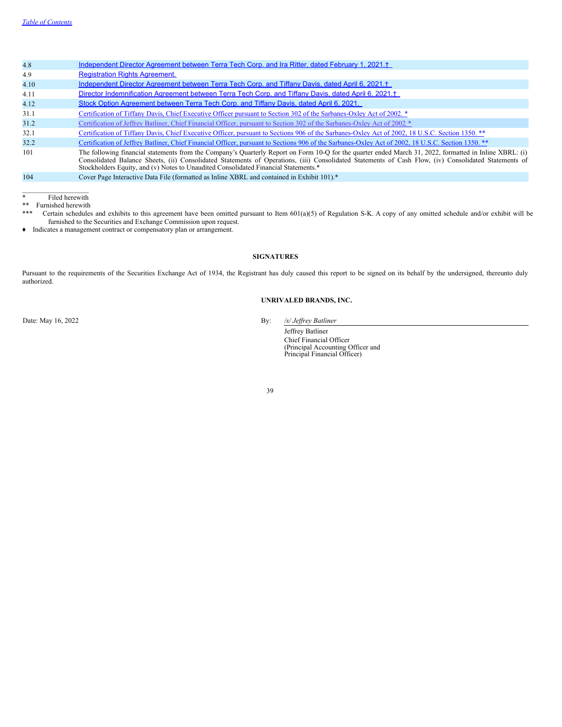| 4.8  | Independent Director Agreement between Terra Tech Corp. and Ira Ritter, dated February 1, 2021. <sup>+</sup>                                                                                                                                                                                                                                                                                           |
|------|--------------------------------------------------------------------------------------------------------------------------------------------------------------------------------------------------------------------------------------------------------------------------------------------------------------------------------------------------------------------------------------------------------|
| 4.9  | <b>Registration Rights Agreement.</b>                                                                                                                                                                                                                                                                                                                                                                  |
| 4.10 | Independent Director Agreement between Terra Tech Corp. and Tiffany Davis, dated April 6, 2021. <sup>+</sup>                                                                                                                                                                                                                                                                                           |
| 4.11 | Director Indemnification Agreement between Terra Tech Corp. and Tiffany Davis, dated April 6, 2021. <sup>+</sup>                                                                                                                                                                                                                                                                                       |
| 4.12 | Stock Option Agreement between Terra Tech Corp. and Tiffany Davis, dated April 6, 2021.                                                                                                                                                                                                                                                                                                                |
| 31.1 | Certification of Tiffany Davis, Chief Executive Officer pursuant to Section 302 of the Sarbanes-Oxley Act of 2002. *                                                                                                                                                                                                                                                                                   |
| 31.2 | Certification of Jeffrey Batliner, Chief Financial Officer, pursuant to Section 302 of the Sarbanes-Oxley Act of 2002 *                                                                                                                                                                                                                                                                                |
| 32.1 | Certification of Tiffany Davis, Chief Executive Officer, pursuant to Sections 906 of the Sarbanes-Oxley Act of 2002, 18 U.S.C. Section 1350. **                                                                                                                                                                                                                                                        |
| 32.2 | Certification of Jeffrey Batliner, Chief Financial Officer, pursuant to Sections 906 of the Sarbanes-Oxley Act of 2002, 18 U.S.C. Section 1350. **                                                                                                                                                                                                                                                     |
| 101  | The following financial statements from the Company's Quarterly Report on Form 10-Q for the quarter ended March 31, 2022, formatted in Inline XBRL: (i)<br>Consolidated Balance Sheets, (ii) Consolidated Statements of Operations, (iii) Consolidated Statements of Cash Flow, (iv) Consolidated Statements of<br>Stockholders Equity, and (v) Notes to Unaudited Consolidated Financial Statements.* |
| 104  | Cover Page Interactive Data File (formatted as Inline XBRL and contained in Exhibit 101).*                                                                                                                                                                                                                                                                                                             |

 $\mathcal{L}_\text{max}$ \* Filed herewith

\*\* Furnished herewith<br>\*\*\* Certain schedules

Certain schedules and exhibits to this agreement have been omitted pursuant to Item 601(a)(5) of Regulation S-K. A copy of any omitted schedule and/or exhibit will be furnished to the Securities and Exchange Commission upon request.

<span id="page-38-0"></span>♦ Indicates a management contract or compensatory plan or arrangement.

# **SIGNATURES**

Pursuant to the requirements of the Securities Exchange Act of 1934, the Registrant has duly caused this report to be signed on its behalf by the undersigned, thereunto duly authorized.

# **UNRIVALED BRANDS, INC.**

Date: May 16, 2022 By: */s/ Jeffrey Batliner* 

Jeffrey Batliner Chief Financial Officer (Principal Accounting Officer and Principal Financial Officer)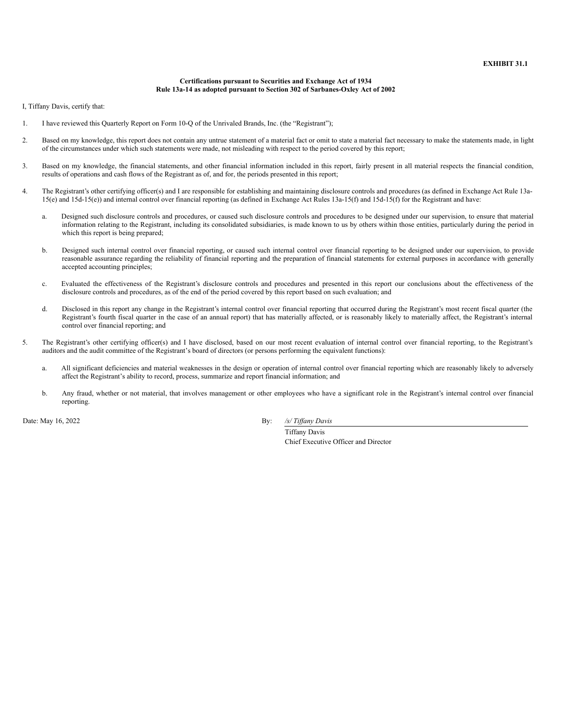### **Certifications pursuant to Securities and Exchange Act of 1934 Rule 13a-14 as adopted pursuant to Section 302 of Sarbanes-Oxley Act of 2002**

<span id="page-39-0"></span>I, Tiffany Davis, certify that:

- 1. I have reviewed this Quarterly Report on Form 10-Q of the Unrivaled Brands, Inc. (the "Registrant");
- 2. Based on my knowledge, this report does not contain any untrue statement of a material fact or omit to state a material fact necessary to make the statements made, in light of the circumstances under which such statements were made, not misleading with respect to the period covered by this report;
- 3. Based on my knowledge, the financial statements, and other financial information included in this report, fairly present in all material respects the financial condition, results of operations and cash flows of the Registrant as of, and for, the periods presented in this report;
- 4. The Registrant's other certifying officer(s) and I are responsible for establishing and maintaining disclosure controls and procedures (as defined in Exchange Act Rule 13a-15(e) and 15d-15(e)) and internal control over financial reporting (as defined in Exchange Act Rules 13a-15(f) and 15d-15(f) for the Registrant and have:
	- a. Designed such disclosure controls and procedures, or caused such disclosure controls and procedures to be designed under our supervision, to ensure that material information relating to the Registrant, including its consolidated subsidiaries, is made known to us by others within those entities, particularly during the period in which this report is being prepared;
	- b. Designed such internal control over financial reporting, or caused such internal control over financial reporting to be designed under our supervision, to provide reasonable assurance regarding the reliability of financial reporting and the preparation of financial statements for external purposes in accordance with generally accepted accounting principles;
	- c. Evaluated the effectiveness of the Registrant's disclosure controls and procedures and presented in this report our conclusions about the effectiveness of the disclosure controls and procedures, as of the end of the period covered by this report based on such evaluation; and
	- d. Disclosed in this report any change in the Registrant's internal control over financial reporting that occurred during the Registrant's most recent fiscal quarter (the Registrant's fourth fiscal quarter in the case of an annual report) that has materially affected, or is reasonably likely to materially affect, the Registrant's internal control over financial reporting; and
- 5. The Registrant's other certifying officer(s) and I have disclosed, based on our most recent evaluation of internal control over financial reporting, to the Registrant's auditors and the audit committee of the Registrant's board of directors (or persons performing the equivalent functions):
	- a. All significant deficiencies and material weaknesses in the design or operation of internal control over financial reporting which are reasonably likely to adversely affect the Registrant's ability to record, process, summarize and report financial information; and
	- b. Any fraud, whether or not material, that involves management or other employees who have a significant role in the Registrant's internal control over financial reporting.

Date: May 16, 2022 By: */s/ Tiffany Davis* 

Tiffany Davis Chief Executive Officer and Director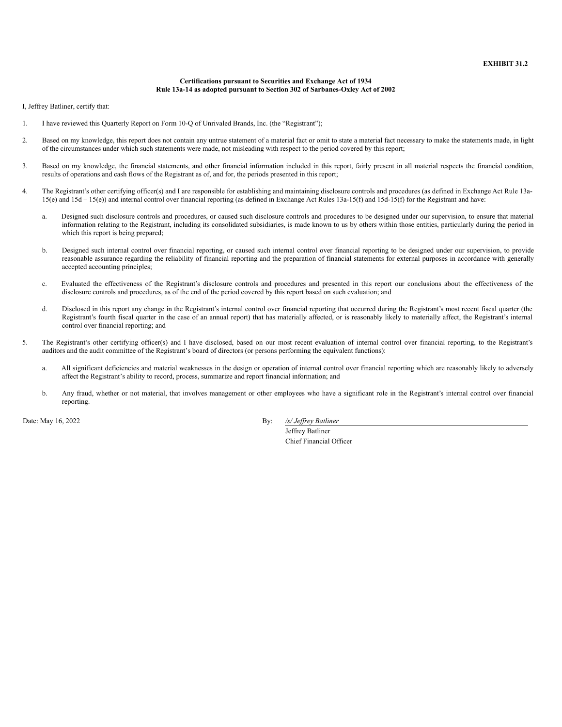### **Certifications pursuant to Securities and Exchange Act of 1934 Rule 13a-14 as adopted pursuant to Section 302 of Sarbanes-Oxley Act of 2002**

<span id="page-40-0"></span>I, Jeffrey Batliner, certify that:

- 1. I have reviewed this Quarterly Report on Form 10-Q of Unrivaled Brands, Inc. (the "Registrant");
- 2. Based on my knowledge, this report does not contain any untrue statement of a material fact or omit to state a material fact necessary to make the statements made, in light of the circumstances under which such statements were made, not misleading with respect to the period covered by this report;
- 3. Based on my knowledge, the financial statements, and other financial information included in this report, fairly present in all material respects the financial condition, results of operations and cash flows of the Registrant as of, and for, the periods presented in this report;
- 4. The Registrant's other certifying officer(s) and I are responsible for establishing and maintaining disclosure controls and procedures (as defined in Exchange Act Rule 13a-15(e) and 15d – 15(e)) and internal control over financial reporting (as defined in Exchange Act Rules 13a-15(f) and 15d-15(f) for the Registrant and have:
	- a. Designed such disclosure controls and procedures, or caused such disclosure controls and procedures to be designed under our supervision, to ensure that material information relating to the Registrant, including its consolidated subsidiaries, is made known to us by others within those entities, particularly during the period in which this report is being prepared;
	- b. Designed such internal control over financial reporting, or caused such internal control over financial reporting to be designed under our supervision, to provide reasonable assurance regarding the reliability of financial reporting and the preparation of financial statements for external purposes in accordance with generally accepted accounting principles;
	- c. Evaluated the effectiveness of the Registrant's disclosure controls and procedures and presented in this report our conclusions about the effectiveness of the disclosure controls and procedures, as of the end of the period covered by this report based on such evaluation; and
	- d. Disclosed in this report any change in the Registrant's internal control over financial reporting that occurred during the Registrant's most recent fiscal quarter (the Registrant's fourth fiscal quarter in the case of an annual report) that has materially affected, or is reasonably likely to materially affect, the Registrant's internal control over financial reporting; and
- 5. The Registrant's other certifying officer(s) and I have disclosed, based on our most recent evaluation of internal control over financial reporting, to the Registrant's auditors and the audit committee of the Registrant's board of directors (or persons performing the equivalent functions):
	- a. All significant deficiencies and material weaknesses in the design or operation of internal control over financial reporting which are reasonably likely to adversely affect the Registrant's ability to record, process, summarize and report financial information; and
	- b. Any fraud, whether or not material, that involves management or other employees who have a significant role in the Registrant's internal control over financial reporting.

Date: May 16, 2022 By: */s/ Jef rey Batliner*

Jeffrey Batliner Chief Financial Officer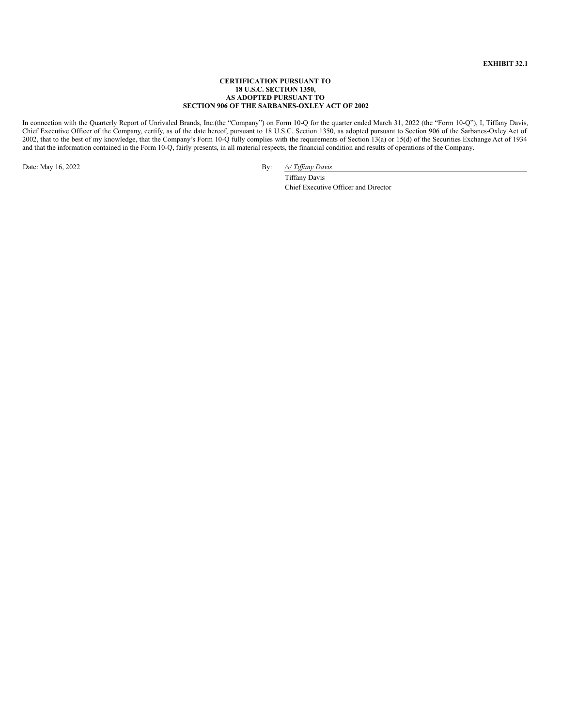## **EXHIBIT 32.1**

### **CERTIFICATION PURSUANT TO 18 U.S.C. SECTION 1350, AS ADOPTED PURSUANT TO SECTION 906 OF THE SARBANES-OXLEY ACT OF 2002**

<span id="page-41-0"></span>In connection with the Quarterly Report of Unrivaled Brands, Inc.(the "Company") on Form 10-Q for the quarter ended March 31, 2022 (the "Form 10-Q"), I, Tiffany Davis, Chief Executive Officer of the Company, certify, as of the date hereof, pursuant to 18 U.S.C. Section 1350, as adopted pursuant to Section 906 of the Sarbanes-Oxley Act of 2002, that to the best of my knowledge, that the Company's Form 10-Q fully complies with the requirements of Section 13(a) or 15(d) of the Securities Exchange Act of 1934 and that the information contained in the Form 10-Q, fairly presents, in all material respects, the financial condition and results of operations of the Company.

Date: May 16, 2022 By: */s/ Tif any Davis*

Tiffany Davis Chief Executive Officer and Director